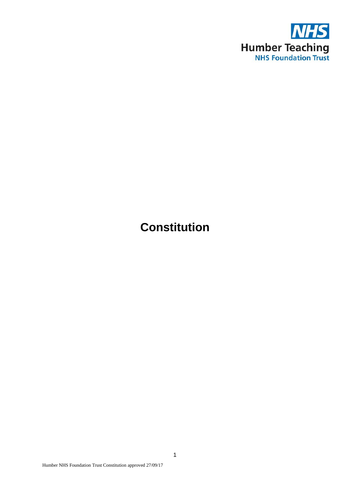

# **Constitution**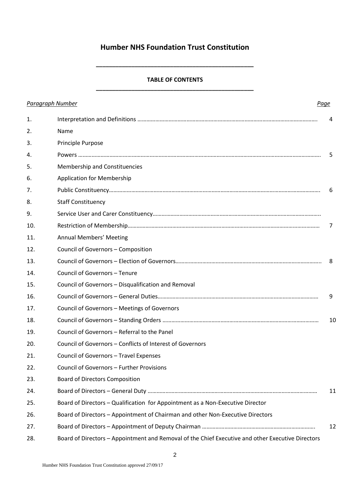# **Humber NHS Foundation Trust Constitution**

# **TABLE OF CONTENTS \_\_\_\_\_\_\_\_\_\_\_\_\_\_\_\_\_\_\_\_\_\_\_\_\_\_\_\_\_\_\_\_\_\_\_\_\_\_\_\_\_\_\_\_\_\_\_\_\_**

**\_\_\_\_\_\_\_\_\_\_\_\_\_\_\_\_\_\_\_\_\_\_\_\_\_\_\_\_\_\_\_\_\_\_\_\_\_\_\_\_\_\_\_\_\_\_\_\_\_**

| <b>Paragraph Number</b> |                                                                                                   | Page |
|-------------------------|---------------------------------------------------------------------------------------------------|------|
| 1.                      |                                                                                                   | 4    |
| 2.                      | Name                                                                                              |      |
| 3.                      | Principle Purpose                                                                                 |      |
| 4.                      |                                                                                                   | -5   |
| 5.                      | Membership and Constituencies                                                                     |      |
| 6.                      | <b>Application for Membership</b>                                                                 |      |
| 7.                      |                                                                                                   | 6    |
| 8.                      | <b>Staff Constituency</b>                                                                         |      |
| 9.                      |                                                                                                   |      |
| 10.                     |                                                                                                   | 7    |
| 11.                     | <b>Annual Members' Meeting</b>                                                                    |      |
| 12.                     | Council of Governors - Composition                                                                |      |
| 13.                     |                                                                                                   | 8    |
| 14.                     | Council of Governors - Tenure                                                                     |      |
| 15.                     | Council of Governors - Disqualification and Removal                                               |      |
| 16.                     |                                                                                                   | 9    |
| 17.                     | Council of Governors - Meetings of Governors                                                      |      |
| 18.                     |                                                                                                   | 10   |
| 19.                     | Council of Governors - Referral to the Panel                                                      |      |
| 20.                     | Council of Governors - Conflicts of Interest of Governors                                         |      |
| 21.                     | Council of Governors - Travel Expenses                                                            |      |
| 22.                     | Council of Governors - Further Provisions                                                         |      |
| 23.                     | <b>Board of Directors Composition</b>                                                             |      |
| 24.                     |                                                                                                   | 11   |
| 25.                     | Board of Directors - Qualification for Appointment as a Non-Executive Director                    |      |
| 26.                     | Board of Directors - Appointment of Chairman and other Non-Executive Directors                    |      |
| 27.                     |                                                                                                   | 12   |
| 28.                     | Board of Directors - Appointment and Removal of the Chief Executive and other Executive Directors |      |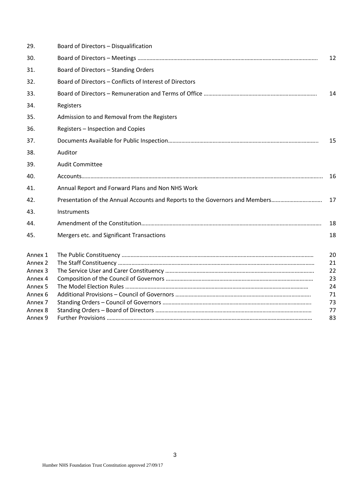| 29.                | Board of Directors - Disqualification                                        |          |
|--------------------|------------------------------------------------------------------------------|----------|
| 30.                |                                                                              | 12       |
| 31.                | Board of Directors - Standing Orders                                         |          |
| 32.                | Board of Directors - Conflicts of Interest of Directors                      |          |
| 33.                |                                                                              | 14       |
| 34.                | Registers                                                                    |          |
| 35.                | Admission to and Removal from the Registers                                  |          |
| 36.                | Registers - Inspection and Copies                                            |          |
| 37.                |                                                                              | 15       |
| 38.                | Auditor                                                                      |          |
| 39.                | <b>Audit Committee</b>                                                       |          |
| 40.                |                                                                              | 16       |
| 41.                | Annual Report and Forward Plans and Non NHS Work                             |          |
| 42.                | Presentation of the Annual Accounts and Reports to the Governors and Members | 17       |
| 43.                | Instruments                                                                  |          |
| 44.                |                                                                              | 18       |
| 45.                | Mergers etc. and Significant Transactions                                    | 18       |
| Annex 1            |                                                                              | 20       |
| Annex <sub>2</sub> |                                                                              | 21       |
| Annex <sub>3</sub> |                                                                              | 22       |
| Annex 4            |                                                                              | 23       |
| Annex <sub>5</sub> |                                                                              | 24       |
| Annex 6            |                                                                              | 71       |
| Annex <sub>7</sub> |                                                                              | 73       |
| Annex 8<br>Annex 9 |                                                                              | 77<br>83 |
|                    |                                                                              |          |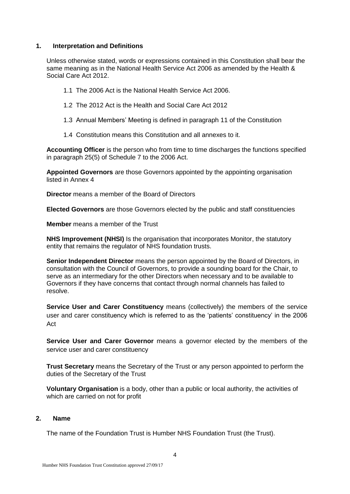# **1. Interpretation and Definitions**

Unless otherwise stated, words or expressions contained in this Constitution shall bear the same meaning as in the National Health Service Act 2006 as amended by the Health & Social Care Act 2012.

- 1.1 The 2006 Act is the National Health Service Act 2006.
- 1.2 The 2012 Act is the Health and Social Care Act 2012
- 1.3 Annual Members' Meeting is defined in paragraph 11 of the Constitution
- 1.4 Constitution means this Constitution and all annexes to it.

**Accounting Officer** is the person who from time to time discharges the functions specified in paragraph 25(5) of Schedule 7 to the 2006 Act.

**Appointed Governors** are those Governors appointed by the appointing organisation listed in Annex 4

**Director** means a member of the Board of Directors

**Elected Governors** are those Governors elected by the public and staff constituencies

**Member** means a member of the Trust

**NHS Improvement (NHSI)** Is the organisation that incorporates Monitor, the statutory entity that remains the regulator of NHS foundation trusts.

**Senior Independent Director** means the person appointed by the Board of Directors, in consultation with the Council of Governors, to provide a sounding board for the Chair, to serve as an intermediary for the other Directors when necessary and to be available to Governors if they have concerns that contact through normal channels has failed to resolve.

**Service User and Carer Constituency** means (collectively) the members of the service user and carer constituency which is referred to as the 'patients' constituency' in the 2006 Act

**Service User and Carer Governor** means a governor elected by the members of the service user and carer constituency

**Trust Secretary** means the Secretary of the Trust or any person appointed to perform the duties of the Secretary of the Trust

**Voluntary Organisation** is a body, other than a public or local authority, the activities of which are carried on not for profit

#### **2. Name**

The name of the Foundation Trust is Humber NHS Foundation Trust (the Trust).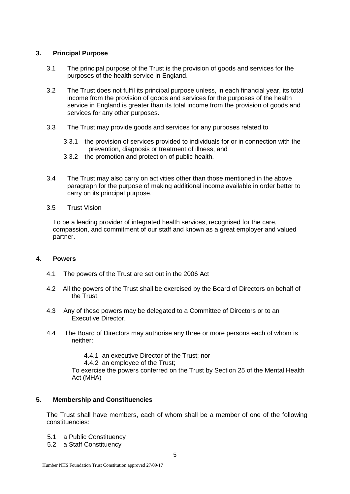# **3. Principal Purpose**

- 3.1 The principal purpose of the Trust is the provision of goods and services for the purposes of the health service in England.
- 3.2 The Trust does not fulfil its principal purpose unless, in each financial year, its total income from the provision of goods and services for the purposes of the health service in England is greater than its total income from the provision of goods and services for any other purposes.
- 3.3 The Trust may provide goods and services for any purposes related to
	- 3.3.1 the provision of services provided to individuals for or in connection with the prevention, diagnosis or treatment of illness, and
	- 3.3.2 the promotion and protection of public health.
- 3.4 The Trust may also carry on activities other than those mentioned in the above paragraph for the purpose of making additional income available in order better to carry on its principal purpose.
- 3.5 Trust Vision

To be a leading provider of integrated health services, recognised for the care, compassion, and commitment of our staff and known as a great employer and valued partner.

# **4. Powers**

- 4.1 The powers of the Trust are set out in the 2006 Act
- 4.2 All the powers of the Trust shall be exercised by the Board of Directors on behalf of the Trust.
- 4.3 Any of these powers may be delegated to a Committee of Directors or to an Executive Director.
- 4.4 The Board of Directors may authorise any three or more persons each of whom is neither:

4.4.1 an executive Director of the Trust; nor

4.4.2 an employee of the Trust;

To exercise the powers conferred on the Trust by Section 25 of the Mental Health Act (MHA)

# **5. Membership and Constituencies**

The Trust shall have members, each of whom shall be a member of one of the following constituencies:

- 5.1 a Public Constituency
- 5.2 a Staff Constituency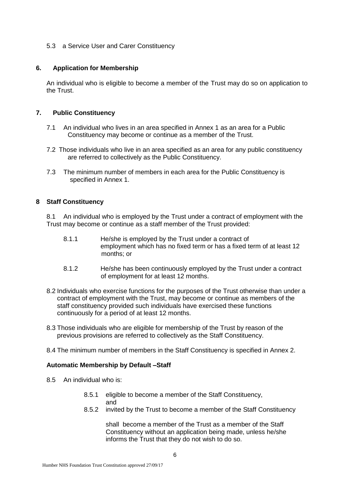#### 5.3 a Service User and Carer Constituency

# **6. Application for Membership**

An individual who is eligible to become a member of the Trust may do so on application to the Trust.

# **7. Public Constituency**

- 7.1 An individual who lives in an area specified in Annex 1 as an area for a Public Constituency may become or continue as a member of the Trust.
- 7.2 Those individuals who live in an area specified as an area for any public constituency are referred to collectively as the Public Constituency.
- 7.3 The minimum number of members in each area for the Public Constituency is specified in Annex 1.

#### **8 Staff Constituency**

8.1 An individual who is employed by the Trust under a contract of employment with the Trust may become or continue as a staff member of the Trust provided:

- 8.1.1 He/she is employed by the Trust under a contract of employment which has no fixed term or has a fixed term of at least 12 months; or
- 8.1.2 He/she has been continuously employed by the Trust under a contract of employment for at least 12 months.
- 8.2 Individuals who exercise functions for the purposes of the Trust otherwise than under a contract of employment with the Trust, may become or continue as members of the staff constituency provided such individuals have exercised these functions continuously for a period of at least 12 months.
- 8.3 Those individuals who are eligible for membership of the Trust by reason of the previous provisions are referred to collectively as the Staff Constituency.
- 8.4 The minimum number of members in the Staff Constituency is specified in Annex 2.

#### **Automatic Membership by Default –Staff**

- 8.5 An individual who is:
	- 8.5.1 eligible to become a member of the Staff Constituency, and
	- 8.5.2 invited by the Trust to become a member of the Staff Constituency

shall become a member of the Trust as a member of the Staff Constituency without an application being made, unless he/she informs the Trust that they do not wish to do so.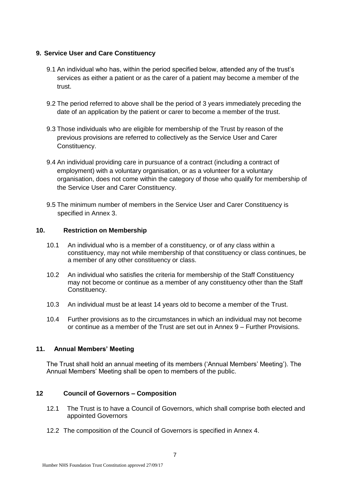# **9. Service User and Care Constituency**

- 9.1 An individual who has, within the period specified below, attended any of the trust's services as either a patient or as the carer of a patient may become a member of the trust.
- 9.2 The period referred to above shall be the period of 3 years immediately preceding the date of an application by the patient or carer to become a member of the trust.
- 9.3 Those individuals who are eligible for membership of the Trust by reason of the previous provisions are referred to collectively as the Service User and Carer Constituency.
- 9.4 An individual providing care in pursuance of a contract (including a contract of employment) with a voluntary organisation, or as a volunteer for a voluntary organisation, does not come within the category of those who qualify for membership of the Service User and Carer Constituency.
- 9.5 The minimum number of members in the Service User and Carer Constituency is specified in Annex 3.

# **10. Restriction on Membership**

- 10.1 An individual who is a member of a constituency, or of any class within a constituency, may not while membership of that constituency or class continues, be a member of any other constituency or class.
- 10.2 An individual who satisfies the criteria for membership of the Staff Constituency may not become or continue as a member of any constituency other than the Staff Constituency.
- 10.3 An individual must be at least 14 years old to become a member of the Trust.
- 10.4 Further provisions as to the circumstances in which an individual may not become or continue as a member of the Trust are set out in Annex 9 – Further Provisions.

# **11. Annual Members' Meeting**

The Trust shall hold an annual meeting of its members ('Annual Members' Meeting'). The Annual Members' Meeting shall be open to members of the public.

# **12 Council of Governors – Composition**

- 12.1 The Trust is to have a Council of Governors, which shall comprise both elected and appointed Governors
- 12.2 The composition of the Council of Governors is specified in Annex 4.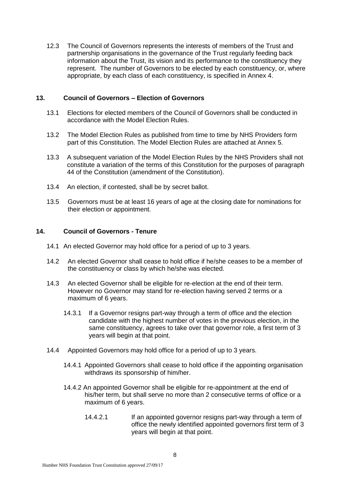12.3 The Council of Governors represents the interests of members of the Trust and partnership organisations in the governance of the Trust regularly feeding back information about the Trust, its vision and its performance to the constituency they represent. The number of Governors to be elected by each constituency, or, where appropriate, by each class of each constituency, is specified in Annex 4.

#### **13. Council of Governors – Election of Governors**

- 13.1 Elections for elected members of the Council of Governors shall be conducted in accordance with the Model Election Rules.
- 13.2 The Model Election Rules as published from time to time by NHS Providers form part of this Constitution. The Model Election Rules are attached at Annex 5.
- 13.3 A subsequent variation of the Model Election Rules by the NHS Providers shall not constitute a variation of the terms of this Constitution for the purposes of paragraph 44 of the Constitution (amendment of the Constitution).
- 13.4 An election, if contested, shall be by secret ballot.
- 13.5 Governors must be at least 16 years of age at the closing date for nominations for their election or appointment.

#### **14. Council of Governors - Tenure**

- 14.1 An elected Governor may hold office for a period of up to 3 years.
- 14.2 An elected Governor shall cease to hold office if he/she ceases to be a member of the constituency or class by which he/she was elected.
- 14.3 An elected Governor shall be eligible for re-election at the end of their term. However no Governor may stand for re-election having served 2 terms or a maximum of 6 years.
	- 14.3.1 If a Governor resigns part-way through a term of office and the election candidate with the highest number of votes in the previous election, in the same constituency, agrees to take over that governor role, a first term of 3 years will begin at that point.
- 14.4 Appointed Governors may hold office for a period of up to 3 years.
	- 14.4.1 Appointed Governors shall cease to hold office if the appointing organisation withdraws its sponsorship of him/her.
	- 14.4.2 An appointed Governor shall be eligible for re-appointment at the end of his/her term, but shall serve no more than 2 consecutive terms of office or a maximum of 6 years.
		- 14.4.2.1 If an appointed governor resigns part-way through a term of office the newly identified appointed governors first term of 3 years will begin at that point.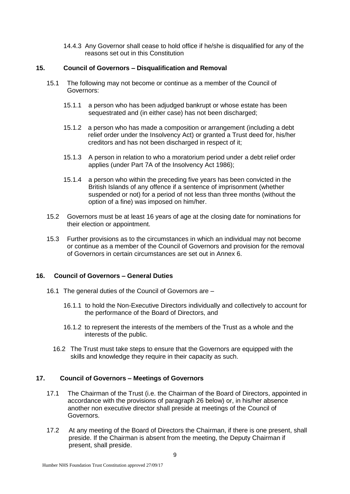14.4.3 Any Governor shall cease to hold office if he/she is disqualified for any of the reasons set out in this Constitution

# **15. Council of Governors – Disqualification and Removal**

- 15.1 The following may not become or continue as a member of the Council of Governors:
	- 15.1.1 a person who has been adjudged bankrupt or whose estate has been sequestrated and (in either case) has not been discharged;
	- 15.1.2 a person who has made a composition or arrangement (including a debt relief order under the Insolvency Act) or granted a Trust deed for, his/her creditors and has not been discharged in respect of it;
	- 15.1.3 A person in relation to who a moratorium period under a debt relief order applies (under Part 7A of the Insolvency Act 1986);
	- 15.1.4 a person who within the preceding five years has been convicted in the British Islands of any offence if a sentence of imprisonment (whether suspended or not) for a period of not less than three months (without the option of a fine) was imposed on him/her.
- 15.2 Governors must be at least 16 years of age at the closing date for nominations for their election or appointment.
- 15.3 Further provisions as to the circumstances in which an individual may not become or continue as a member of the Council of Governors and provision for the removal of Governors in certain circumstances are set out in Annex 6.

# **16. Council of Governors – General Duties**

- 16.1 The general duties of the Council of Governors are
	- 16.1.1 to hold the Non-Executive Directors individually and collectively to account for the performance of the Board of Directors, and
	- 16.1.2 to represent the interests of the members of the Trust as a whole and the interests of the public.
	- 16.2 The Trust must take steps to ensure that the Governors are equipped with the skills and knowledge they require in their capacity as such.

# **17. Council of Governors – Meetings of Governors**

- 17.1 The Chairman of the Trust (i.e. the Chairman of the Board of Directors, appointed in accordance with the provisions of paragraph 26 below) or, in his/her absence another non executive director shall preside at meetings of the Council of Governors.
- 17.2 At any meeting of the Board of Directors the Chairman, if there is one present, shall preside. If the Chairman is absent from the meeting, the Deputy Chairman if present, shall preside.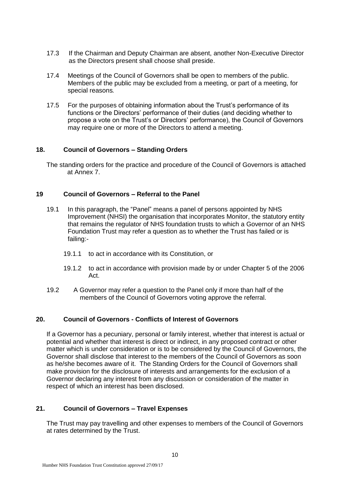- 17.3 If the Chairman and Deputy Chairman are absent, another Non-Executive Director as the Directors present shall choose shall preside.
- 17.4 Meetings of the Council of Governors shall be open to members of the public. Members of the public may be excluded from a meeting, or part of a meeting, for special reasons*.*
- 17.5 For the purposes of obtaining information about the Trust's performance of its functions or the Directors' performance of their duties (and deciding whether to propose a vote on the Trust's or Directors' performance), the Council of Governors may require one or more of the Directors to attend a meeting.

# **18. Council of Governors – Standing Orders**

The standing orders for the practice and procedure of the Council of Governors is attached at Annex 7.

#### **19 Council of Governors – Referral to the Panel**

- 19.1 In this paragraph, the "Panel" means a panel of persons appointed by NHS Improvement (NHSI) the organisation that incorporates Monitor, the statutory entity that remains the regulator of NHS foundation trusts to which a Governor of an NHS Foundation Trust may refer a question as to whether the Trust has failed or is failing:-
	- 19.1.1 to act in accordance with its Constitution, or
	- 19.1.2 to act in accordance with provision made by or under Chapter 5 of the 2006 Act.
- 19.2 A Governor may refer a question to the Panel only if more than half of the members of the Council of Governors voting approve the referral.

#### **20. Council of Governors - Conflicts of Interest of Governors**

If a Governor has a pecuniary, personal or family interest, whether that interest is actual or potential and whether that interest is direct or indirect, in any proposed contract or other matter which is under consideration or is to be considered by the Council of Governors, the Governor shall disclose that interest to the members of the Council of Governors as soon as he/she becomes aware of it. The Standing Orders for the Council of Governors shall make provision for the disclosure of interests and arrangements for the exclusion of a Governor declaring any interest from any discussion or consideration of the matter in respect of which an interest has been disclosed.

# **21. Council of Governors – Travel Expenses**

The Trust may pay travelling and other expenses to members of the Council of Governors at rates determined by the Trust.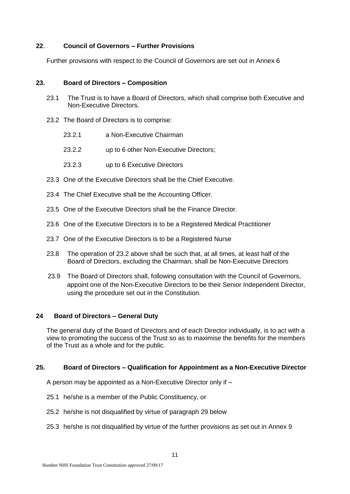# **22**. **Council of Governors – Further Provisions**

Further provisions with respect to the Council of Governors are set out in Annex 6

#### **23. Board of Directors – Composition**

- 23.1 The Trust is to have a Board of Directors, which shall comprise both Executive and Non-Executive Directors.
- 23.2 The Board of Directors is to comprise:
	- 23.2.1 a Non-Executive Chairman
	- 23.2.2 up to 6 other Non-Executive Directors;
	- 23.2.3 up to 6 Executive Directors
- 23.3 One of the Executive Directors shall be the Chief Executive.
- 23.4 The Chief Executive shall be the Accounting Officer.
- 23.5 One of the Executive Directors shall be the Finance Director.
- 23.6 One of the Executive Directors is to be a Registered Medical Practitioner
- 23.7 One of the Executive Directors is to be a Registered Nurse
- 23.8 The operation of 23.2 above shall be such that, at all times, at least half of the Board of Directors, excluding the Chairman, shall be Non-Executive Directors
- 23.9 The Board of Directors shall, following consultation with the Council of Governors, appoint one of the Non-Executive Directors to be their Senior Independent Director, using the procedure set out in the Constitution.

# **24 Board of Directors – General Duty**

The general duty of the Board of Directors and of each Director individually, is to act with a view to promoting the success of the Trust so as to maximise the benefits for the members of the Trust as a whole and for the public.

#### **25. Board of Directors – Qualification for Appointment as a Non-Executive Director**

A person may be appointed as a Non-Executive Director only if –

- 25.1 he/she is a member of the Public Constituency, or
- 25.2 he/she is not disqualified by virtue of paragraph 29 below
- 25.3 he/she is not disqualified by virtue of the further provisions as set out in Annex 9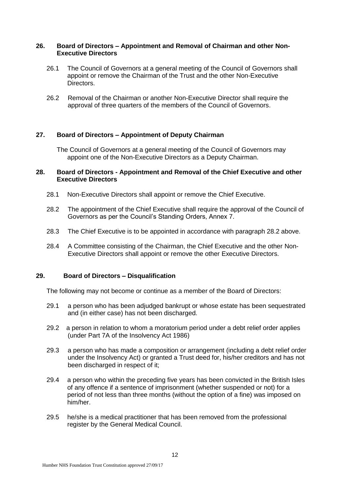# **26. Board of Directors – Appointment and Removal of Chairman and other Non-Executive Directors**

- 26.1 The Council of Governors at a general meeting of the Council of Governors shall appoint or remove the Chairman of the Trust and the other Non-Executive Directors.
- 26.2 Removal of the Chairman or another Non-Executive Director shall require the approval of three quarters of the members of the Council of Governors.

# **27. Board of Directors – Appointment of Deputy Chairman**

The Council of Governors at a general meeting of the Council of Governors may appoint one of the Non-Executive Directors as a Deputy Chairman.

#### **28. Board of Directors - Appointment and Removal of the Chief Executive and other Executive Directors**

- 28.1 Non-Executive Directors shall appoint or remove the Chief Executive.
- 28.2 The appointment of the Chief Executive shall require the approval of the Council of Governors as per the Council's Standing Orders, Annex 7.
- 28.3 The Chief Executive is to be appointed in accordance with paragraph 28.2 above.
- 28.4 A Committee consisting of the Chairman, the Chief Executive and the other Non-Executive Directors shall appoint or remove the other Executive Directors.

#### **29. Board of Directors – Disqualification**

The following may not become or continue as a member of the Board of Directors:

- 29.1 a person who has been adjudged bankrupt or whose estate has been sequestrated and (in either case) has not been discharged.
- 29.2 a person in relation to whom a moratorium period under a debt relief order applies (under Part 7A of the Insolvency Act 1986)
- 29.3 a person who has made a composition or arrangement (including a debt relief order under the Insolvency Act) or granted a Trust deed for, his/her creditors and has not been discharged in respect of it;
- 29.4 a person who within the preceding five years has been convicted in the British Isles of any offence if a sentence of imprisonment (whether suspended or not) for a period of not less than three months (without the option of a fine) was imposed on him/her.
- 29.5 he/she is a medical practitioner that has been removed from the professional register by the General Medical Council.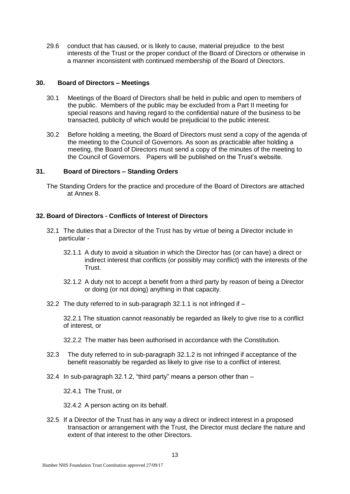29.6 conduct that has caused, or is likely to cause, material prejudice to the best interests of the Trust or the proper conduct of the Board of Directors or otherwise in a manner inconsistent with continued membership of the Board of Directors.

#### **30. Board of Directors – Meetings**

- 30.1 Meetings of the Board of Directors shall be held in public and open to members of the public. Members of the public may be excluded from a Part II meeting for special reasons and having regard to the confidential nature of the business to be transacted, publicity of which would be prejudicial to the public interest.
- 30.2 Before holding a meeting, the Board of Directors must send a copy of the agenda of the meeting to the Council of Governors. As soon as practicable after holding a meeting, the Board of Directors must send a copy of the minutes of the meeting to the Council of Governors. Papers will be published on the Trust's website.

### **31. Board of Directors – Standing Orders**

The Standing Orders for the practice and procedure of the Board of Directors are attached at Annex 8.

# **32. Board of Directors - Conflicts of Interest of Directors**

- 32.1 The duties that a Director of the Trust has by virtue of being a Director include in particular -
	- 32.1.1 A duty to avoid a situation in which the Director has (or can have) a direct or indirect interest that conflicts (or possibly may conflict) with the interests of the Trust.
	- 32.1.2 A duty not to accept a benefit from a third party by reason of being a Director or doing (or not doing) anything in that capacity.
- 32.2 The duty referred to in sub-paragraph 32.1.1 is not infringed if –

32.2.1 The situation cannot reasonably be regarded as likely to give rise to a conflict of interest, or

- 32.2.2 The matter has been authorised in accordance with the Constitution.
- 32.3 The duty referred to in sub-paragraph 32.1.2 is not infringed if acceptance of the benefit reasonably be regarded as likely to give rise to a conflict of interest.
- 32.4 In sub-paragraph 32.1.2, "third party" means a person other than –

32.4.1 The Trust, or

32.4.2 A person acting on its behalf.

32.5 If a Director of the Trust has in any way a direct or indirect interest in a proposed transaction or arrangement with the Trust, the Director must declare the nature and extent of that interest to the other Directors.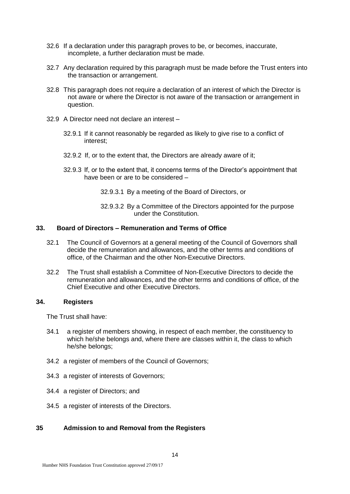- 32.6 If a declaration under this paragraph proves to be, or becomes, inaccurate, incomplete, a further declaration must be made.
- 32.7 Any declaration required by this paragraph must be made before the Trust enters into the transaction or arrangement.
- 32.8 This paragraph does not require a declaration of an interest of which the Director is not aware or where the Director is not aware of the transaction or arrangement in question.
- 32.9 A Director need not declare an interest
	- 32.9.1 If it cannot reasonably be regarded as likely to give rise to a conflict of interest;
	- 32.9.2 If, or to the extent that, the Directors are already aware of it;
	- 32.9.3 If, or to the extent that, it concerns terms of the Director's appointment that have been or are to be considered –
		- 32.9.3.1 By a meeting of the Board of Directors, or
		- 32.9.3.2 By a Committee of the Directors appointed for the purpose under the Constitution.

#### **33. Board of Directors – Remuneration and Terms of Office**

- 32.1 The Council of Governors at a general meeting of the Council of Governors shall decide the remuneration and allowances, and the other terms and conditions of office, of the Chairman and the other Non-Executive Directors.
- 32.2 The Trust shall establish a Committee of Non-Executive Directors to decide the remuneration and allowances, and the other terms and conditions of office, of the Chief Executive and other Executive Directors.

#### **34. Registers**

The Trust shall have:

- 34.1 a register of members showing, in respect of each member, the constituency to which he/she belongs and, where there are classes within it, the class to which he/she belongs;
- 34.2 a register of members of the Council of Governors;
- 34.3 a register of interests of Governors;
- 34.4 a register of Directors; and
- 34.5 a register of interests of the Directors.

# **35 Admission to and Removal from the Registers**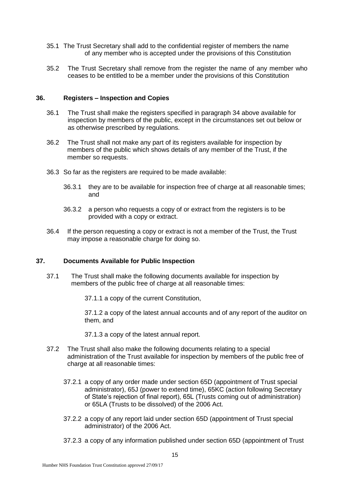- 35.1 The Trust Secretary shall add to the confidential register of members the name of any member who is accepted under the provisions of this Constitution
- 35.2 The Trust Secretary shall remove from the register the name of any member who ceases to be entitled to be a member under the provisions of this Constitution

#### **36. Registers – Inspection and Copies**

- 36.1 The Trust shall make the registers specified in paragraph 34 above available for inspection by members of the public, except in the circumstances set out below or as otherwise prescribed by regulations.
- 36.2 The Trust shall not make any part of its registers available for inspection by members of the public which shows details of any member of the Trust, if the member so requests.
- 36.3 So far as the registers are required to be made available:
	- 36.3.1 they are to be available for inspection free of charge at all reasonable times; and
	- 36.3.2 a person who requests a copy of or extract from the registers is to be provided with a copy or extract.
- 36.4 If the person requesting a copy or extract is not a member of the Trust, the Trust may impose a reasonable charge for doing so.

# **37. Documents Available for Public Inspection**

37.1 The Trust shall make the following documents available for inspection by members of the public free of charge at all reasonable times:

37.1.1 a copy of the current Constitution,

37.1.2 a copy of the latest annual accounts and of any report of the auditor on them, and

37.1.3 a copy of the latest annual report.

- 37.2 The Trust shall also make the following documents relating to a special administration of the Trust available for inspection by members of the public free of charge at all reasonable times:
	- 37.2.1 a copy of any order made under section 65D (appointment of Trust special administrator), 65J (power to extend time), 65KC (action following Secretary of State's rejection of final report), 65L (Trusts coming out of administration) or 65LA (Trusts to be dissolved) of the 2006 Act.
	- 37.2.2 a copy of any report laid under section 65D (appointment of Trust special administrator) of the 2006 Act.
	- 37.2.3 a copy of any information published under section 65D (appointment of Trust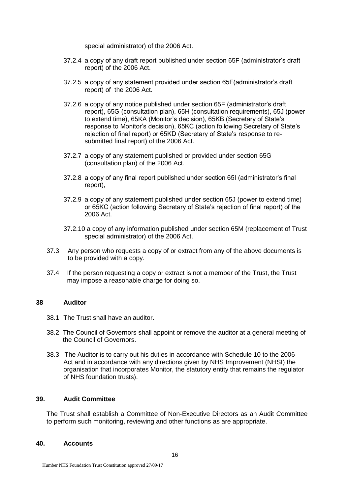special administrator) of the 2006 Act.

- 37.2.4 a copy of any draft report published under section 65F (administrator's draft report) of the 2006 Act.
- 37.2.5 a copy of any statement provided under section 65F(administrator's draft report) of the 2006 Act.
- 37.2.6 a copy of any notice published under section 65F (administrator's draft report), 65G (consultation plan), 65H (consultation requirements), 65J (power to extend time), 65KA (Monitor's decision), 65KB (Secretary of State's response to Monitor's decision), 65KC (action following Secretary of State's rejection of final report) or 65KD (Secretary of State's response to resubmitted final report) of the 2006 Act.
- 37.2.7 a copy of any statement published or provided under section 65G (consultation plan) of the 2006 Act.
- 37.2.8 a copy of any final report published under section 65I (administrator's final report),
- 37.2.9 a copy of any statement published under section 65J (power to extend time) or 65KC (action following Secretary of State's rejection of final report) of the 2006 Act.
- 37.2.10 a copy of any information published under section 65M (replacement of Trust special administrator) of the 2006 Act.
- 37.3 Any person who requests a copy of or extract from any of the above documents is to be provided with a copy.
- 37.4 If the person requesting a copy or extract is not a member of the Trust, the Trust may impose a reasonable charge for doing so.

#### **38 Auditor**

- 38.1 The Trust shall have an auditor.
- 38.2 The Council of Governors shall appoint or remove the auditor at a general meeting of the Council of Governors.
- 38.3The Auditor is to carry out his duties in accordance with Schedule 10 to the 2006 Act and in accordance with any directions given by NHS Improvement (NHSI) the organisation that incorporates Monitor, the statutory entity that remains the regulator of NHS foundation trusts).

# **39. Audit Committee**

The Trust shall establish a Committee of Non-Executive Directors as an Audit Committee to perform such monitoring, reviewing and other functions as are appropriate.

#### **40. Accounts**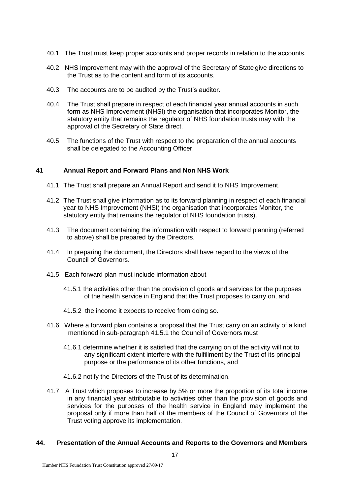- 40.1 The Trust must keep proper accounts and proper records in relation to the accounts.
- 40.2 NHS Improvement may with the approval of the Secretary of State give directions to the Trust as to the content and form of its accounts.
- 40.3 The accounts are to be audited by the Trust's auditor.
- 40.4 The Trust shall prepare in respect of each financial year annual accounts in such form as NHS Improvement (NHSI) the organisation that incorporates Monitor, the statutory entity that remains the regulator of NHS foundation trusts may with the approval of the Secretary of State direct.
- 40.5 The functions of the Trust with respect to the preparation of the annual accounts shall be delegated to the Accounting Officer.

#### **41 Annual Report and Forward Plans and Non NHS Work**

- 41.1 The Trust shall prepare an Annual Report and send it to NHS Improvement.
- 41.2 The Trust shall give information as to its forward planning in respect of each financial year to NHS Improvement (NHSI) the organisation that incorporates Monitor, the statutory entity that remains the regulator of NHS foundation trusts).
- 41.3 The document containing the information with respect to forward planning (referred to above) shall be prepared by the Directors.
- 41.4 In preparing the document, the Directors shall have regard to the views of the Council of Governors.
- 41.5 Each forward plan must include information about
	- 41.5.1 the activities other than the provision of goods and services for the purposes of the health service in England that the Trust proposes to carry on, and
	- 41.5.2 the income it expects to receive from doing so.
- 41.6 Where a forward plan contains a proposal that the Trust carry on an activity of a kind mentioned in sub-paragraph 41.5.1 the Council of Governors must
	- 41.6.1 determine whether it is satisfied that the carrying on of the activity will not to any significant extent interfere with the fulfillment by the Trust of its principal purpose or the performance of its other functions, and
	- 41.6.2 notify the Directors of the Trust of its determination.
- 41.7 A Trust which proposes to increase by 5% or more the proportion of its total income in any financial year attributable to activities other than the provision of goods and services for the purposes of the health service in England may implement the proposal only if more than half of the members of the Council of Governors of the Trust voting approve its implementation.

#### **44. Presentation of the Annual Accounts and Reports to the Governors and Members**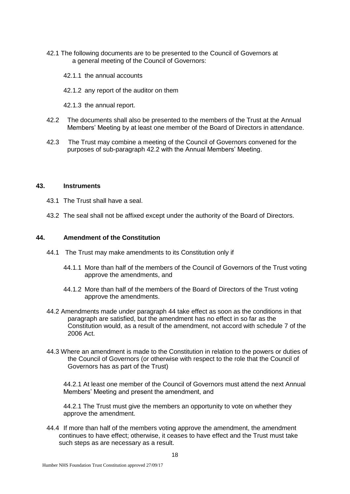- 42.1 The following documents are to be presented to the Council of Governors at a general meeting of the Council of Governors:
	- 42.1.1 the annual accounts
	- 42.1.2 any report of the auditor on them
	- 42.1.3 the annual report.
- 42.2 The documents shall also be presented to the members of the Trust at the Annual Members' Meeting by at least one member of the Board of Directors in attendance.
- 42.3 The Trust may combine a meeting of the Council of Governors convened for the purposes of sub-paragraph 42.2 with the Annual Members' Meeting.

#### **43. Instruments**

- 43.1 The Trust shall have a seal.
- 43.2 The seal shall not be affixed except under the authority of the Board of Directors.

#### **44. Amendment of the Constitution**

- 44.1 The Trust may make amendments to its Constitution only if
	- 44.1.1 More than half of the members of the Council of Governors of the Trust voting approve the amendments, and
	- 44.1.2 More than half of the members of the Board of Directors of the Trust voting approve the amendments.
- 44.2 Amendments made under paragraph 44 take effect as soon as the conditions in that paragraph are satisfied, but the amendment has no effect in so far as the Constitution would, as a result of the amendment, not accord with schedule 7 of the 2006 Act.
- 44.3 Where an amendment is made to the Constitution in relation to the powers or duties of the Council of Governors (or otherwise with respect to the role that the Council of Governors has as part of the Trust)

44.2.1 At least one member of the Council of Governors must attend the next Annual Members' Meeting and present the amendment, and

44.2.1 The Trust must give the members an opportunity to vote on whether they approve the amendment.

44.4 If more than half of the members voting approve the amendment, the amendment continues to have effect; otherwise, it ceases to have effect and the Trust must take such steps as are necessary as a result.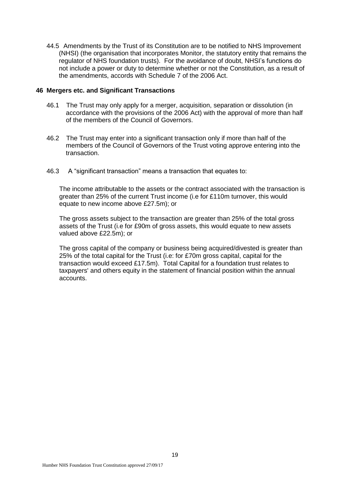44.5 Amendments by the Trust of its Constitution are to be notified to NHS Improvement (NHSI) (the organisation that incorporates Monitor, the statutory entity that remains the regulator of NHS foundation trusts). For the avoidance of doubt, NHSI's functions do not include a power or duty to determine whether or not the Constitution, as a result of the amendments, accords with Schedule 7 of the 2006 Act.

#### **46 Mergers etc. and Significant Transactions**

- 46.1 The Trust may only apply for a merger, acquisition, separation or dissolution (in accordance with the provisions of the 2006 Act) with the approval of more than half of the members of the Council of Governors.
- 46.2 The Trust may enter into a significant transaction only if more than half of the members of the Council of Governors of the Trust voting approve entering into the transaction.
- 46.3 A "significant transaction" means a transaction that equates to:

The income attributable to the assets or the contract associated with the transaction is greater than 25% of the current Trust income (i.e for £110m turnover, this would equate to new income above £27.5m); or

The gross assets subject to the transaction are greater than 25% of the total gross assets of the Trust (i.e for £90m of gross assets, this would equate to new assets valued above £22.5m); or

The gross capital of the company or business being acquired/divested is greater than 25% of the total capital for the Trust (i.e: for £70m gross capital, capital for the transaction would exceed £17.5m). Total Capital for a foundation trust relates to taxpayers' and others equity in the statement of financial position within the annual accounts.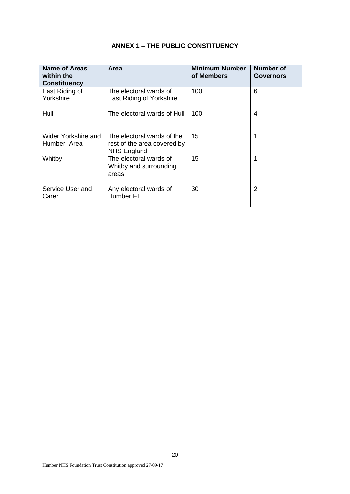# **ANNEX 1 – THE PUBLIC CONSTITUENCY**

| Name of Areas<br>within the<br><b>Constituency</b> | <b>Area</b>                                                                     | <b>Minimum Number</b><br>of Members | Number of<br><b>Governors</b> |
|----------------------------------------------------|---------------------------------------------------------------------------------|-------------------------------------|-------------------------------|
| East Riding of<br>Yorkshire                        | The electoral wards of<br>East Riding of Yorkshire                              | 100                                 | 6                             |
| Hull                                               | The electoral wards of Hull                                                     | 100                                 | 4                             |
| Wider Yorkshire and<br>Humber Area                 | The electoral wards of the<br>rest of the area covered by<br><b>NHS England</b> | 15                                  | 1                             |
| Whitby                                             | The electoral wards of<br>Whitby and surrounding<br>areas                       | 15                                  | 1                             |
| Service User and<br>Carer                          | Any electoral wards of<br>Humber <sub>FT</sub>                                  | 30                                  | 2                             |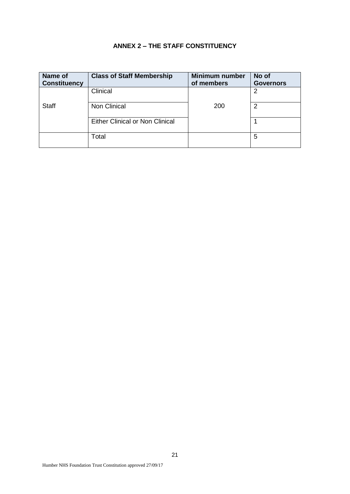# **ANNEX 2 – THE STAFF CONSTITUENCY**

| Name of<br><b>Constituency</b> | <b>Class of Staff Membership</b> | <b>Minimum number</b><br>of members | No of<br><b>Governors</b> |
|--------------------------------|----------------------------------|-------------------------------------|---------------------------|
|                                | Clinical                         |                                     |                           |
| <b>Staff</b>                   | Non Clinical                     | <b>200</b>                          | 2                         |
|                                | Either Clinical or Non Clinical  |                                     |                           |
|                                | Total                            |                                     | 5                         |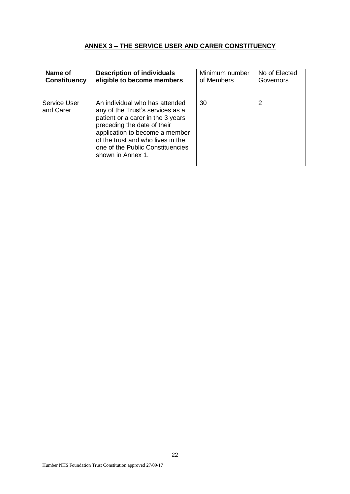# **ANNEX 3 – THE SERVICE USER AND CARER CONSTITUENCY**

| Name of                          | <b>Description of individuals</b>                                                                                                                                                                                                                                      | Minimum number | No of Elected |
|----------------------------------|------------------------------------------------------------------------------------------------------------------------------------------------------------------------------------------------------------------------------------------------------------------------|----------------|---------------|
| <b>Constituency</b>              | eligible to become members                                                                                                                                                                                                                                             | of Members     | Governors     |
| <b>Service User</b><br>and Carer | An individual who has attended<br>any of the Trust's services as a<br>patient or a carer in the 3 years<br>preceding the date of their<br>application to become a member<br>of the trust and who lives in the<br>one of the Public Constituencies<br>shown in Annex 1. | 30             | 2             |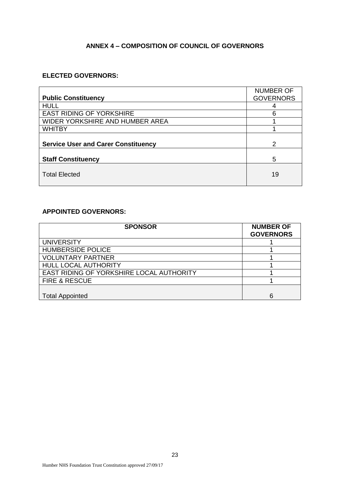# **ANNEX 4 – COMPOSITION OF COUNCIL OF GOVERNORS**

# **ELECTED GOVERNORS:**

|                                            | <b>NUMBER OF</b> |
|--------------------------------------------|------------------|
| <b>Public Constituency</b>                 | <b>GOVERNORS</b> |
| <b>HULL</b>                                | 4                |
| <b>EAST RIDING OF YORKSHIRE</b>            | 6                |
| WIDER YORKSHIRE AND HUMBER AREA            |                  |
| <b>WHITBY</b>                              |                  |
|                                            |                  |
| <b>Service User and Carer Constituency</b> | $\mathcal{P}$    |
|                                            |                  |
| <b>Staff Constituency</b>                  | 5                |
|                                            |                  |
| <b>Total Elected</b>                       | 19               |
|                                            |                  |

# **APPOINTED GOVERNORS:**

| <b>SPONSOR</b>                           | <b>NUMBER OF</b><br><b>GOVERNORS</b> |
|------------------------------------------|--------------------------------------|
| <b>UNIVERSITY</b>                        |                                      |
| <b>HUMBERSIDE POLICE</b>                 |                                      |
| <b>VOLUNTARY PARTNER</b>                 |                                      |
| <b>HULL LOCAL AUTHORITY</b>              |                                      |
| EAST RIDING OF YORKSHIRE LOCAL AUTHORITY |                                      |
| <b>FIRE &amp; RESCUE</b>                 |                                      |
|                                          |                                      |
| <b>Total Appointed</b>                   | 6                                    |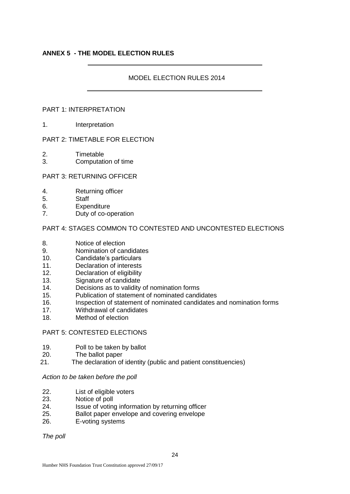# **ANNEX 5 - THE MODEL ELECTION RULES**

# MODEL ELECTION RULES 2014

#### PART 1: INTERPRETATION

1. Interpretation

# PART 2: TIMETABLE FOR ELECTION

- 2. Timetable
- 3. Computation of time

# PART 3: RETURNING OFFICER

- 4. Returning officer
- 5. Staff
- 6. Expenditure
- 7. Duty of co-operation

#### PART 4: STAGES COMMON TO CONTESTED AND UNCONTESTED ELECTIONS

- 8. Notice of election
- 9. Nomination of candidates
- 10. Candidate's particulars
- 11. Declaration of interests
- 12. Declaration of eligibility
- 13. Signature of candidate
- 14. Decisions as to validity of nomination forms
- 15. Publication of statement of nominated candidates
- 16. Inspection of statement of nominated candidates and nomination forms
- 17. Withdrawal of candidates
- 18. Method of election

# PART 5: CONTESTED ELECTIONS

- 19. Poll to be taken by ballot
- 20. The ballot paper
- 21. The declaration of identity (public and patient constituencies)

#### *Action to be taken before the poll*

- 22. List of eligible voters
- 23. Notice of poll
- 24. Issue of voting information by returning officer
- 25. Ballot paper envelope and covering envelope
- 26. E-voting systems

*The poll*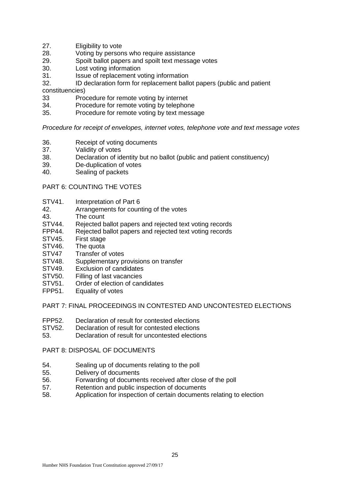- 27. Eligibility to vote
- 28. Voting by persons who require assistance<br>29. Spoilt ballot papers and spoilt text messac
- 29. Spoilt ballot papers and spoilt text message votes<br>30. Lost voting information
- 30. Lost voting information<br>31. Issue of replacement vo
- 31. Issue of replacement voting information<br>32. ID declaration form for replacement ball
- ID declaration form for replacement ballot papers (public and patient

constituencies)

- 33 Procedure for remote voting by internet
- 34. Procedure for remote voting by telephone
- 35. Procedure for remote voting by text message

*Procedure for receipt of envelopes, internet votes, telephone vote and text message votes*

- 36. Receipt of voting documents
- 37. Validity of votes<br>38. Declaration of id
- Declaration of identity but no ballot (public and patient constituency)
- 39. De-duplication of votes<br>40. Sealing of packets
- Sealing of packets

#### PART 6: COUNTING THE VOTES

- STV41. Interpretation of Part 6
- 42. Arrangements for counting of the votes
- 43. The count
- STV44. Rejected ballot papers and rejected text voting records<br>FPP44. Rejected ballot papers and rejected text voting records
- Rejected ballot papers and rejected text voting records
- STV45. First stage
- STV46. The quota
- STV47 Transfer of votes
- STV48. Supplementary provisions on transfer
- STV49. Exclusion of candidates
- STV50. Filling of last vacancies
- STV51. Order of election of candidates
- FPP51. Equality of votes

# PART 7: FINAL PROCEEDINGS IN CONTESTED AND UNCONTESTED ELECTIONS

- FPP52. Declaration of result for contested elections
- STV52. Declaration of result for contested elections
- 53. Declaration of result for uncontested elections

# PART 8: DISPOSAL OF DOCUMENTS

- 54. Sealing up of documents relating to the poll
- 55. Delivery of documents
- 56. Forwarding of documents received after close of the poll
- 57. Retention and public inspection of documents
- 58. Application for inspection of certain documents relating to election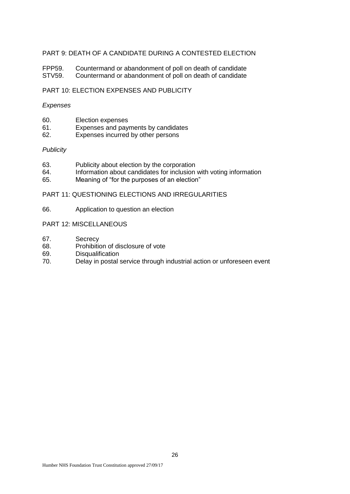# PART 9: DEATH OF A CANDIDATE DURING A CONTESTED ELECTION

FPP59. Countermand or abandonment of poll on death of candidate<br>STV59. Countermand or abandonment of poll on death of candidate Countermand or abandonment of poll on death of candidate

# PART 10: ELECTION EXPENSES AND PUBLICITY

#### *Expenses*

- 60. Election expenses<br>61. Expenses and pay
- Expenses and payments by candidates
- 62. Expenses incurred by other persons

#### *Publicity*

- 63. Publicity about election by the corporation<br>64. Information about candidates for inclusion
- 64. Information about candidates for inclusion with voting information 65.
- Meaning of "for the purposes of an election"

# PART 11: QUESTIONING ELECTIONS AND IRREGULARITIES

66. Application to question an election

#### PART 12: MISCELLANEOUS

- 67. Secrecy
- 68. Prohibition of disclosure of vote
- 69. Disqualification<br>70. Delay in postal s
- Delay in postal service through industrial action or unforeseen event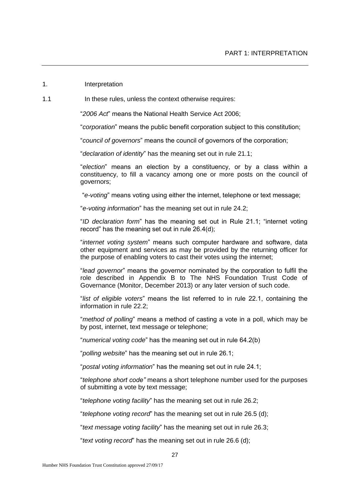#### 1. Interpretation

1.1 In these rules, unless the context otherwise requires:

"*2006 Act*" means the National Health Service Act 2006;

"*corporation*" means the public benefit corporation subject to this constitution;

"*council of governors*" means the council of governors of the corporation;

"*declaration of identity*" has the meaning set out in rule 21.1;

"*election*" means an election by a constituency, or by a class within a constituency, to fill a vacancy among one or more posts on the council of governors;

"*e-voting*" means voting using either the internet, telephone or text message;

"*e-voting information*" has the meaning set out in rule 24.2;

"*ID declaration form*" has the meaning set out in Rule 21.1; "internet voting record" has the meaning set out in rule 26.4(d);

"*internet voting system*" means such computer hardware and software, data other equipment and services as may be provided by the returning officer for the purpose of enabling voters to cast their votes using the internet;

"*lead governor*" means the governor nominated by the corporation to fulfil the role described in Appendix B to The NHS Foundation Trust Code of Governance (Monitor, December 2013) or any later version of such code.

"*list of eligible voters*" means the list referred to in rule 22.1, containing the information in rule 22.2;

"*method of polling*" means a method of casting a vote in a poll, which may be by post, internet, text message or telephone;

"*numerical voting code*" has the meaning set out in rule 64.2(b)

"*polling website*" has the meaning set out in rule 26.1;

"*postal voting information*" has the meaning set out in rule 24.1;

"*telephone short code"* means a short telephone number used for the purposes of submitting a vote by text message;

"*telephone voting facility*" has the meaning set out in rule 26.2;

"*telephone voting record*" has the meaning set out in rule 26.5 (d);

"*text message voting facility*" has the meaning set out in rule 26.3;

"*text voting record*" has the meaning set out in rule 26.6 (d);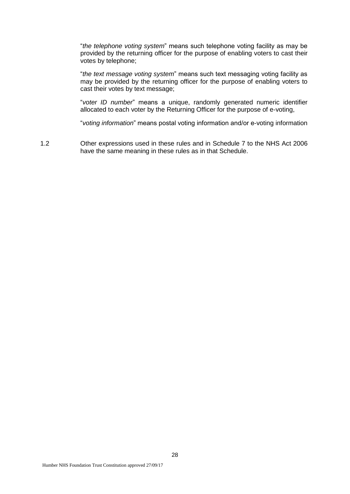"*the telephone voting system*" means such telephone voting facility as may be provided by the returning officer for the purpose of enabling voters to cast their votes by telephone;

"*the text message voting system*" means such text messaging voting facility as may be provided by the returning officer for the purpose of enabling voters to cast their votes by text message;

"*voter ID number*" means a unique, randomly generated numeric identifier allocated to each voter by the Returning Officer for the purpose of e-voting,

"*voting information*" means postal voting information and/or e-voting information

1.2 Other expressions used in these rules and in Schedule 7 to the NHS Act 2006 have the same meaning in these rules as in that Schedule.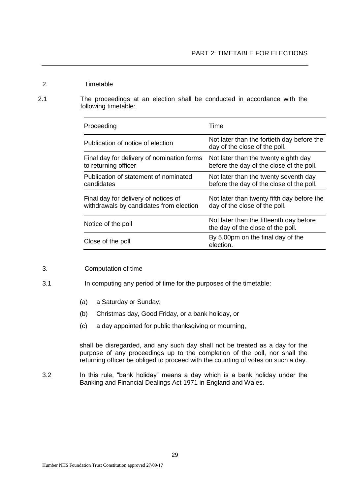- 2. Timetable
- 2.1 The proceedings at an election shall be conducted in accordance with the following timetable:

| Proceeding                                                                      | Time                                                                              |
|---------------------------------------------------------------------------------|-----------------------------------------------------------------------------------|
| Publication of notice of election                                               | Not later than the fortieth day before the<br>day of the close of the poll.       |
| Final day for delivery of nomination forms<br>to returning officer              | Not later than the twenty eighth day<br>before the day of the close of the poll.  |
| Publication of statement of nominated<br>candidates                             | Not later than the twenty seventh day<br>before the day of the close of the poll. |
| Final day for delivery of notices of<br>withdrawals by candidates from election | Not later than twenty fifth day before the<br>day of the close of the poll.       |
| Notice of the poll                                                              | Not later than the fifteenth day before<br>the day of the close of the poll.      |
| Close of the poll                                                               | By 5.00pm on the final day of the<br>election.                                    |

# 3. Computation of time

- 3.1 In computing any period of time for the purposes of the timetable:
	- (a) a Saturday or Sunday;
	- (b) Christmas day, Good Friday, or a bank holiday, or
	- (c) a day appointed for public thanksgiving or mourning,

shall be disregarded, and any such day shall not be treated as a day for the purpose of any proceedings up to the completion of the poll, nor shall the returning officer be obliged to proceed with the counting of votes on such a day.

3.2 In this rule, "bank holiday" means a day which is a bank holiday under the Banking and Financial Dealings Act 1971 in England and Wales.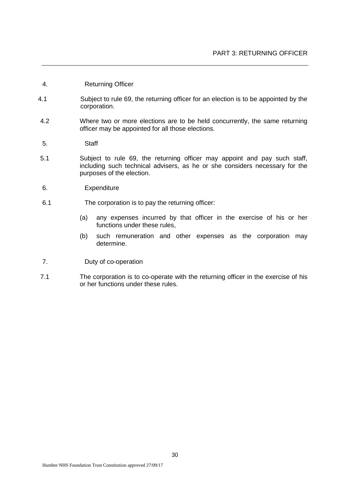- 4. Returning Officer
- 4.1 Subject to rule 69, the returning officer for an election is to be appointed by the corporation.
- 4.2 Where two or more elections are to be held concurrently, the same returning officer may be appointed for all those elections.
- 5. Staff
- 5.1 Subject to rule 69, the returning officer may appoint and pay such staff, including such technical advisers, as he or she considers necessary for the purposes of the election.
- 6. Expenditure
- 6.1 The corporation is to pay the returning officer:
	- (a) any expenses incurred by that officer in the exercise of his or her functions under these rules,
	- (b) such remuneration and other expenses as the corporation may determine.
- 7. Duty of co-operation
- 7.1 The corporation is to co-operate with the returning officer in the exercise of his or her functions under these rules.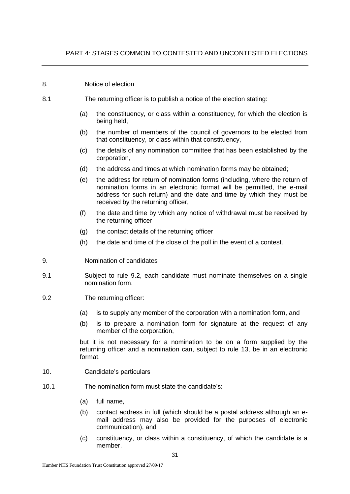#### 8. Notice of election

- 8.1 The returning officer is to publish a notice of the election stating:
	- (a) the constituency, or class within a constituency, for which the election is being held,
	- (b) the number of members of the council of governors to be elected from that constituency, or class within that constituency,
	- (c) the details of any nomination committee that has been established by the corporation,
	- (d) the address and times at which nomination forms may be obtained;
	- (e) the address for return of nomination forms (including, where the return of nomination forms in an electronic format will be permitted, the e-mail address for such return) and the date and time by which they must be received by the returning officer,
	- (f) the date and time by which any notice of withdrawal must be received by the returning officer
	- (g) the contact details of the returning officer
	- (h) the date and time of the close of the poll in the event of a contest.
- 9. Nomination of candidates
- 9.1 Subject to rule 9.2, each candidate must nominate themselves on a single nomination form.
- 9.2 The returning officer:
	- (a) is to supply any member of the corporation with a nomination form, and
	- (b) is to prepare a nomination form for signature at the request of any member of the corporation,

but it is not necessary for a nomination to be on a form supplied by the returning officer and a nomination can, subject to rule 13, be in an electronic format.

- 10. Candidate's particulars
- 10.1 The nomination form must state the candidate's:
	- (a) full name,
	- (b) contact address in full (which should be a postal address although an email address may also be provided for the purposes of electronic communication), and
	- (c) constituency, or class within a constituency, of which the candidate is a member.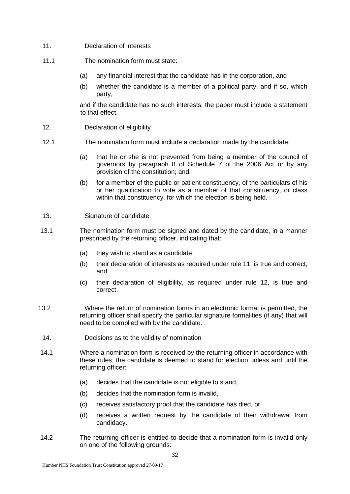- 11. Declaration of interests
- 11.1 The nomination form must state:
	- (a) any financial interest that the candidate has in the corporation, and
	- (b) whether the candidate is a member of a political party, and if so, which party,

and if the candidate has no such interests, the paper must include a statement to that effect.

- 12. Declaration of eligibility
- 12.1 The nomination form must include a declaration made by the candidate:
	- (a) that he or she is not prevented from being a member of the council of governors by paragraph 8 of Schedule 7 of the 2006 Act or by any provision of the constitution; and,
	- (b) for a member of the public or patient constituency, of the particulars of his or her qualification to vote as a member of that constituency, or class within that constituency, for which the election is being held.
- 13. Signature of candidate
- 13.1 The nomination form must be signed and dated by the candidate, in a manner prescribed by the returning officer, indicating that:
	- (a) they wish to stand as a candidate,
	- (b) their declaration of interests as required under rule 11, is true and correct, and
	- (c) their declaration of eligibility, as required under rule 12, is true and correct.
- 13.2 Where the return of nomination forms in an electronic format is permitted, the returning officer shall specify the particular signature formalities (if any) that will need to be complied with by the candidate.
- 14. Decisions as to the validity of nomination
- 14.1 Where a nomination form is received by the returning officer in accordance with these rules, the candidate is deemed to stand for election unless and until the returning officer:
	- (a) decides that the candidate is not eligible to stand,
	- (b) decides that the nomination form is invalid,
	- (c) receives satisfactory proof that the candidate has died, or
	- (d) receives a written request by the candidate of their withdrawal from candidacy.
- 14.2 The returning officer is entitled to decide that a nomination form is invalid only on one of the following grounds: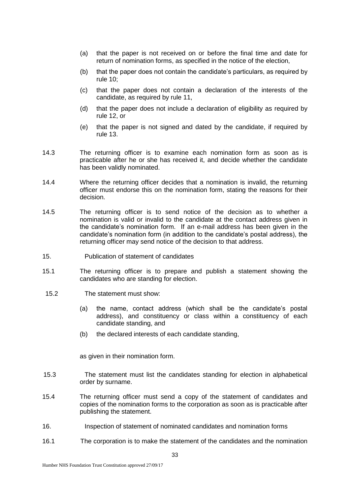- (a) that the paper is not received on or before the final time and date for return of nomination forms, as specified in the notice of the election,
- (b) that the paper does not contain the candidate's particulars, as required by rule 10;
- (c) that the paper does not contain a declaration of the interests of the candidate, as required by rule 11,
- (d) that the paper does not include a declaration of eligibility as required by rule 12, or
- (e) that the paper is not signed and dated by the candidate, if required by rule 13.
- 14.3 The returning officer is to examine each nomination form as soon as is practicable after he or she has received it, and decide whether the candidate has been validly nominated.
- 14.4 Where the returning officer decides that a nomination is invalid, the returning officer must endorse this on the nomination form, stating the reasons for their decision.
- 14.5 The returning officer is to send notice of the decision as to whether a nomination is valid or invalid to the candidate at the contact address given in the candidate's nomination form. If an e-mail address has been given in the candidate's nomination form (in addition to the candidate's postal address), the returning officer may send notice of the decision to that address.
- 15. Publication of statement of candidates
- 15.1 The returning officer is to prepare and publish a statement showing the candidates who are standing for election.
	- 15.2 The statement must show:
		- (a) the name, contact address (which shall be the candidate's postal address), and constituency or class within a constituency of each candidate standing, and
		- (b) the declared interests of each candidate standing,

as given in their nomination form.

- 15.3 The statement must list the candidates standing for election in alphabetical order by surname.
- 15.4 The returning officer must send a copy of the statement of candidates and copies of the nomination forms to the corporation as soon as is practicable after publishing the statement.
- 16. Inspection of statement of nominated candidates and nomination forms
- 16.1 The corporation is to make the statement of the candidates and the nomination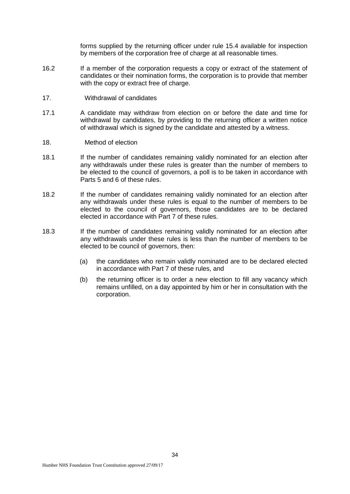forms supplied by the returning officer under rule 15.4 available for inspection by members of the corporation free of charge at all reasonable times.

- 16.2 If a member of the corporation requests a copy or extract of the statement of candidates or their nomination forms, the corporation is to provide that member with the copy or extract free of charge.
- 17. Withdrawal of candidates
- 17.1 A candidate may withdraw from election on or before the date and time for withdrawal by candidates, by providing to the returning officer a written notice of withdrawal which is signed by the candidate and attested by a witness.
- 18. Method of election
- 18.1 If the number of candidates remaining validly nominated for an election after any withdrawals under these rules is greater than the number of members to be elected to the council of governors, a poll is to be taken in accordance with Parts 5 and 6 of these rules.
- 18.2 If the number of candidates remaining validly nominated for an election after any withdrawals under these rules is equal to the number of members to be elected to the council of governors, those candidates are to be declared elected in accordance with Part 7 of these rules.
- 18.3 If the number of candidates remaining validly nominated for an election after any withdrawals under these rules is less than the number of members to be elected to be council of governors, then:
	- (a) the candidates who remain validly nominated are to be declared elected in accordance with Part 7 of these rules, and
	- (b) the returning officer is to order a new election to fill any vacancy which remains unfilled, on a day appointed by him or her in consultation with the corporation.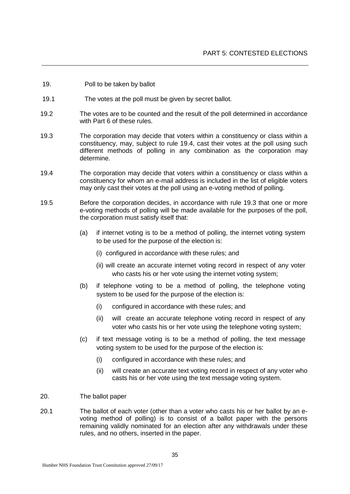- 19. Poll to be taken by ballot
- 19.1 The votes at the poll must be given by secret ballot.
- 19.2 The votes are to be counted and the result of the poll determined in accordance with Part 6 of these rules.
- 19.3 The corporation may decide that voters within a constituency or class within a constituency, may, subject to rule 19.4, cast their votes at the poll using such different methods of polling in any combination as the corporation may determine.
- 19.4 The corporation may decide that voters within a constituency or class within a constituency for whom an e-mail address is included in the list of eligible voters may only cast their votes at the poll using an e-voting method of polling.
- 19.5 Before the corporation decides, in accordance with rule 19.3 that one or more e-voting methods of polling will be made available for the purposes of the poll, the corporation must satisfy itself that:
	- (a) if internet voting is to be a method of polling, the internet voting system to be used for the purpose of the election is:
		- (i) configured in accordance with these rules; and
		- (ii) will create an accurate internet voting record in respect of any voter who casts his or her vote using the internet voting system;
	- (b) if telephone voting to be a method of polling, the telephone voting system to be used for the purpose of the election is:
		- (i) configured in accordance with these rules; and
		- (ii) will create an accurate telephone voting record in respect of any voter who casts his or her vote using the telephone voting system;
	- (c) if text message voting is to be a method of polling, the text message voting system to be used for the purpose of the election is:
		- (i) configured in accordance with these rules; and
		- (ii) will create an accurate text voting record in respect of any voter who casts his or her vote using the text message voting system.
- 20. The ballot paper
- 20.1 The ballot of each voter (other than a voter who casts his or her ballot by an evoting method of polling) is to consist of a ballot paper with the persons remaining validly nominated for an election after any withdrawals under these rules, and no others, inserted in the paper.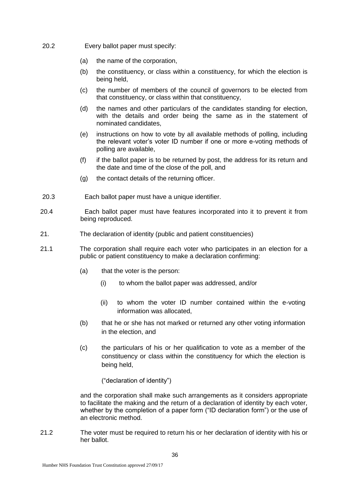- 20.2 Every ballot paper must specify:
	- (a) the name of the corporation,
	- (b) the constituency, or class within a constituency, for which the election is being held,
	- (c) the number of members of the council of governors to be elected from that constituency, or class within that constituency,
	- (d) the names and other particulars of the candidates standing for election, with the details and order being the same as in the statement of nominated candidates,
	- (e) instructions on how to vote by all available methods of polling, including the relevant voter's voter ID number if one or more e-voting methods of polling are available,
	- (f) if the ballot paper is to be returned by post, the address for its return and the date and time of the close of the poll, and
	- (g) the contact details of the returning officer.
- 20.3 Each ballot paper must have a unique identifier.
- 20.4 Each ballot paper must have features incorporated into it to prevent it from being reproduced.
- 21. The declaration of identity (public and patient constituencies)
- 21.1 The corporation shall require each voter who participates in an election for a public or patient constituency to make a declaration confirming:
	- (a) that the voter is the person:
		- (i) to whom the ballot paper was addressed, and/or
		- (ii) to whom the voter ID number contained within the e-voting information was allocated,
	- (b) that he or she has not marked or returned any other voting information in the election, and
	- (c) the particulars of his or her qualification to vote as a member of the constituency or class within the constituency for which the election is being held,

("declaration of identity")

and the corporation shall make such arrangements as it considers appropriate to facilitate the making and the return of a declaration of identity by each voter, whether by the completion of a paper form ("ID declaration form") or the use of an electronic method.

21.2 The voter must be required to return his or her declaration of identity with his or her ballot.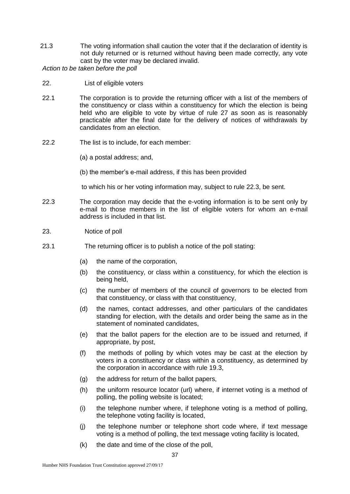21.3 The voting information shall caution the voter that if the declaration of identity is not duly returned or is returned without having been made correctly, any vote cast by the voter may be declared invalid.

*Action to be taken before the poll*

- 22. List of eligible voters
- 22.1 The corporation is to provide the returning officer with a list of the members of the constituency or class within a constituency for which the election is being held who are eligible to vote by virtue of rule 27 as soon as is reasonably practicable after the final date for the delivery of notices of withdrawals by candidates from an election.
- 22.2 The list is to include, for each member:
	- (a) a postal address; and,
	- (b) the member's e-mail address, if this has been provided

to which his or her voting information may, subject to rule 22.3, be sent.

- 22.3 The corporation may decide that the e-voting information is to be sent only by e-mail to those members in the list of eligible voters for whom an e-mail address is included in that list.
- 23. Notice of poll
- 23.1 The returning officer is to publish a notice of the poll stating:
	- (a) the name of the corporation,
	- (b) the constituency, or class within a constituency, for which the election is being held,
	- (c) the number of members of the council of governors to be elected from that constituency, or class with that constituency,
	- (d) the names, contact addresses, and other particulars of the candidates standing for election, with the details and order being the same as in the statement of nominated candidates,
	- (e) that the ballot papers for the election are to be issued and returned, if appropriate, by post,
	- (f) the methods of polling by which votes may be cast at the election by voters in a constituency or class within a constituency, as determined by the corporation in accordance with rule 19.3,
	- (g) the address for return of the ballot papers,
	- (h) the uniform resource locator (url) where, if internet voting is a method of polling, the polling website is located;
	- (i) the telephone number where, if telephone voting is a method of polling, the telephone voting facility is located,
	- (j) the telephone number or telephone short code where, if text message voting is a method of polling, the text message voting facility is located,
	- $(k)$  the date and time of the close of the poll,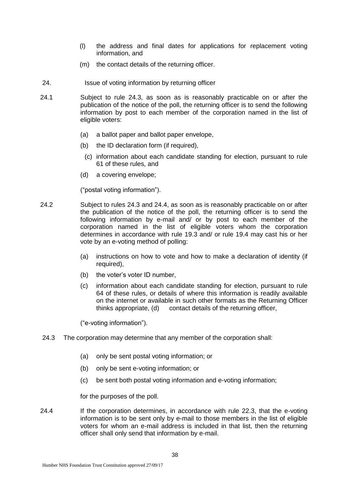- (l) the address and final dates for applications for replacement voting information, and
- (m) the contact details of the returning officer.
- 24. Issue of voting information by returning officer
- 24.1 Subject to rule 24.3, as soon as is reasonably practicable on or after the publication of the notice of the poll, the returning officer is to send the following information by post to each member of the corporation named in the list of eligible voters:
	- (a) a ballot paper and ballot paper envelope,
	- (b) the ID declaration form (if required),
		- (c) information about each candidate standing for election, pursuant to rule 61 of these rules, and
	- (d) a covering envelope;

("postal voting information").

- 24.2 Subject to rules 24.3 and 24.4, as soon as is reasonably practicable on or after the publication of the notice of the poll, the returning officer is to send the following information by e-mail and/ or by post to each member of the corporation named in the list of eligible voters whom the corporation determines in accordance with rule 19.3 and/ or rule 19.4 may cast his or her vote by an e-voting method of polling:
	- (a) instructions on how to vote and how to make a declaration of identity (if required),
	- (b) the voter's voter ID number,
	- (c) information about each candidate standing for election, pursuant to rule 64 of these rules, or details of where this information is readily available on the internet or available in such other formats as the Returning Officer thinks appropriate, (d) contact details of the returning officer,

("e-voting information").

- 24.3 The corporation may determine that any member of the corporation shall:
	- (a) only be sent postal voting information; or
	- (b) only be sent e-voting information; or
	- (c) be sent both postal voting information and e-voting information;

for the purposes of the poll.

24.4 If the corporation determines, in accordance with rule 22.3, that the e-voting information is to be sent only by e-mail to those members in the list of eligible voters for whom an e-mail address is included in that list, then the returning officer shall only send that information by e-mail.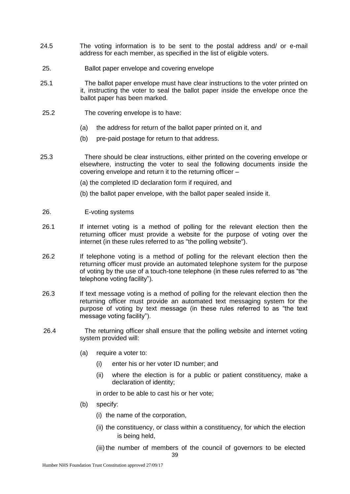- 24.5 The voting information is to be sent to the postal address and/ or e-mail address for each member, as specified in the list of eligible voters.
- 25. Ballot paper envelope and covering envelope
- 25.1 The ballot paper envelope must have clear instructions to the voter printed on it, instructing the voter to seal the ballot paper inside the envelope once the ballot paper has been marked.
- 25.2 The covering envelope is to have:
	- (a) the address for return of the ballot paper printed on it, and
	- (b) pre-paid postage for return to that address.
- 25.3 There should be clear instructions, either printed on the covering envelope or elsewhere, instructing the voter to seal the following documents inside the covering envelope and return it to the returning officer –
	- (a) the completed ID declaration form if required, and
	- (b) the ballot paper envelope, with the ballot paper sealed inside it.
- 26. E-voting systems
- 26.1 If internet voting is a method of polling for the relevant election then the returning officer must provide a website for the purpose of voting over the internet (in these rules referred to as "the polling website").
- 26.2 If telephone voting is a method of polling for the relevant election then the returning officer must provide an automated telephone system for the purpose of voting by the use of a touch-tone telephone (in these rules referred to as "the telephone voting facility").
- 26.3 If text message voting is a method of polling for the relevant election then the returning officer must provide an automated text messaging system for the purpose of voting by text message (in these rules referred to as "the text message voting facility").
- 26.4 The returning officer shall ensure that the polling website and internet voting system provided will:
	- (a) require a voter to:
		- (i) enter his or her voter ID number; and
		- (ii) where the election is for a public or patient constituency, make a declaration of identity;

in order to be able to cast his or her vote;

- (b) specify:
	- (i) the name of the corporation,
	- (ii) the constituency, or class within a constituency, for which the election is being held,
	- (iii) the number of members of the council of governors to be elected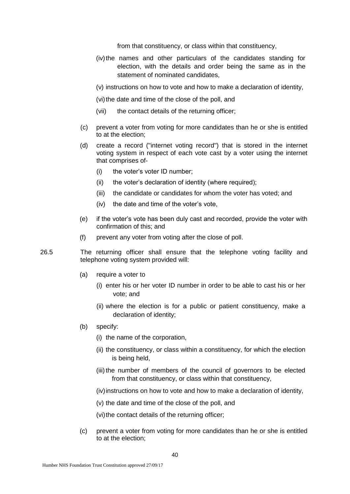from that constituency, or class within that constituency,

- (iv)the names and other particulars of the candidates standing for election, with the details and order being the same as in the statement of nominated candidates,
- (v) instructions on how to vote and how to make a declaration of identity,
- (vi) the date and time of the close of the poll, and
- (vii) the contact details of the returning officer;
- (c) prevent a voter from voting for more candidates than he or she is entitled to at the election;
- (d) create a record ("internet voting record") that is stored in the internet voting system in respect of each vote cast by a voter using the internet that comprises of-
	- (i) the voter's voter ID number;
	- (ii) the voter's declaration of identity (where required);
	- (iii) the candidate or candidates for whom the voter has voted; and
	- (iv) the date and time of the voter's vote,
- (e) if the voter's vote has been duly cast and recorded, provide the voter with confirmation of this; and
- (f) prevent any voter from voting after the close of poll.
- 26.5 The returning officer shall ensure that the telephone voting facility and telephone voting system provided will:
	- (a) require a voter to
		- (i) enter his or her voter ID number in order to be able to cast his or her vote; and
		- (ii) where the election is for a public or patient constituency, make a declaration of identity;
	- (b) specify:
		- (i) the name of the corporation,
		- (ii) the constituency, or class within a constituency, for which the election is being held,
		- (iii) the number of members of the council of governors to be elected from that constituency, or class within that constituency,
		- (iv)instructions on how to vote and how to make a declaration of identity,
		- (v) the date and time of the close of the poll, and
		- (vi) the contact details of the returning officer;
	- (c) prevent a voter from voting for more candidates than he or she is entitled to at the election;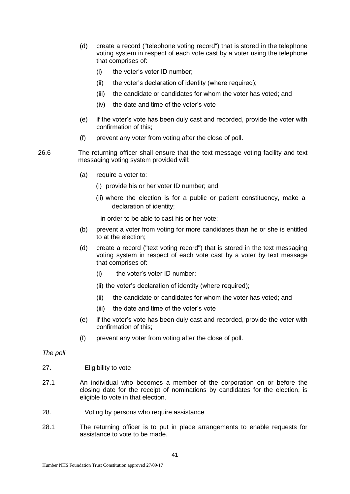- (d) create a record ("telephone voting record") that is stored in the telephone voting system in respect of each vote cast by a voter using the telephone that comprises of:
	- (i) the voter's voter ID number;
	- (ii) the voter's declaration of identity (where required);
	- (iii) the candidate or candidates for whom the voter has voted; and
	- (iv) the date and time of the voter's vote
- (e) if the voter's vote has been duly cast and recorded, provide the voter with confirmation of this;
- (f) prevent any voter from voting after the close of poll.
- 26.6 The returning officer shall ensure that the text message voting facility and text messaging voting system provided will:
	- (a) require a voter to:
		- (i) provide his or her voter ID number; and
		- (ii) where the election is for a public or patient constituency, make a declaration of identity;

in order to be able to cast his or her vote;

- (b) prevent a voter from voting for more candidates than he or she is entitled to at the election;
- (d) create a record ("text voting record") that is stored in the text messaging voting system in respect of each vote cast by a voter by text message that comprises of:
	- (i) the voter's voter ID number;
	- (ii) the voter's declaration of identity (where required);
	- (ii) the candidate or candidates for whom the voter has voted; and
	- (iii) the date and time of the voter's vote
- (e) if the voter's vote has been duly cast and recorded, provide the voter with confirmation of this;
- (f) prevent any voter from voting after the close of poll.

### *The poll*

- 27. Eligibility to vote
- 27.1 An individual who becomes a member of the corporation on or before the closing date for the receipt of nominations by candidates for the election, is eligible to vote in that election.
- 28. Voting by persons who require assistance
- 28.1 The returning officer is to put in place arrangements to enable requests for assistance to vote to be made.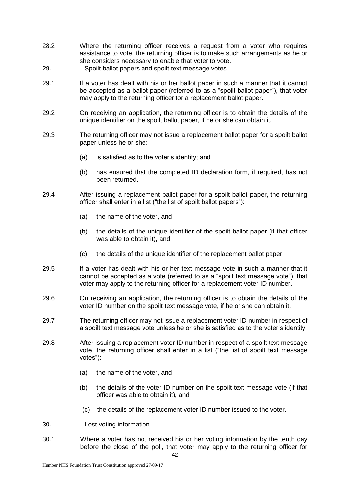- 28.2 Where the returning officer receives a request from a voter who requires assistance to vote, the returning officer is to make such arrangements as he or she considers necessary to enable that voter to vote.
- 29. Spoilt ballot papers and spoilt text message votes
- 29.1 If a voter has dealt with his or her ballot paper in such a manner that it cannot be accepted as a ballot paper (referred to as a "spoilt ballot paper"), that voter may apply to the returning officer for a replacement ballot paper.
- 29.2 On receiving an application, the returning officer is to obtain the details of the unique identifier on the spoilt ballot paper, if he or she can obtain it.
- 29.3 The returning officer may not issue a replacement ballot paper for a spoilt ballot paper unless he or she:
	- (a) is satisfied as to the voter's identity; and
	- (b) has ensured that the completed ID declaration form, if required, has not been returned.
- 29.4 After issuing a replacement ballot paper for a spoilt ballot paper, the returning officer shall enter in a list ("the list of spoilt ballot papers"):
	- (a) the name of the voter, and
	- (b) the details of the unique identifier of the spoilt ballot paper (if that officer was able to obtain it), and
	- (c) the details of the unique identifier of the replacement ballot paper.
- 29.5 If a voter has dealt with his or her text message vote in such a manner that it cannot be accepted as a vote (referred to as a "spoilt text message vote"), that voter may apply to the returning officer for a replacement voter ID number.
- 29.6 On receiving an application, the returning officer is to obtain the details of the voter ID number on the spoilt text message vote, if he or she can obtain it.
- 29.7 The returning officer may not issue a replacement voter ID number in respect of a spoilt text message vote unless he or she is satisfied as to the voter's identity.
- 29.8 After issuing a replacement voter ID number in respect of a spoilt text message vote, the returning officer shall enter in a list ("the list of spoilt text message votes"):
	- (a) the name of the voter, and
	- (b) the details of the voter ID number on the spoilt text message vote (if that officer was able to obtain it), and
	- (c) the details of the replacement voter ID number issued to the voter.
- 30. Lost voting information
- 30.1 Where a voter has not received his or her voting information by the tenth day before the close of the poll, that voter may apply to the returning officer for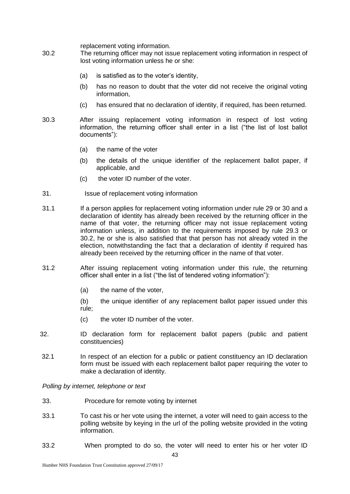replacement voting information.

- 30.2 The returning officer may not issue replacement voting information in respect of lost voting information unless he or she:
	- (a) is satisfied as to the voter's identity,
	- (b) has no reason to doubt that the voter did not receive the original voting information,
	- (c) has ensured that no declaration of identity, if required, has been returned.
- 30.3 After issuing replacement voting information in respect of lost voting information, the returning officer shall enter in a list ("the list of lost ballot documents"):
	- (a) the name of the voter
	- (b) the details of the unique identifier of the replacement ballot paper, if applicable, and
	- (c) the voter ID number of the voter.
- 31. Issue of replacement voting information
- 31.1 If a person applies for replacement voting information under rule 29 or 30 and a declaration of identity has already been received by the returning officer in the name of that voter, the returning officer may not issue replacement voting information unless, in addition to the requirements imposed by rule 29.3 or 30.2, he or she is also satisfied that that person has not already voted in the election, notwithstanding the fact that a declaration of identity if required has already been received by the returning officer in the name of that voter.
- 31.2 After issuing replacement voting information under this rule, the returning officer shall enter in a list ("the list of tendered voting information"):
	- (a) the name of the voter,
	- (b) the unique identifier of any replacement ballot paper issued under this rule;
	- (c) the voter ID number of the voter.
- 32. ID declaration form for replacement ballot papers (public and patient constituencies)
- 32.1 In respect of an election for a public or patient constituency an ID declaration form must be issued with each replacement ballot paper requiring the voter to make a declaration of identity.

*Polling by internet, telephone or text*

- 33. Procedure for remote voting by internet
- 33.1 To cast his or her vote using the internet, a voter will need to gain access to the polling website by keying in the url of the polling website provided in the voting information.
- 33.2 When prompted to do so, the voter will need to enter his or her voter ID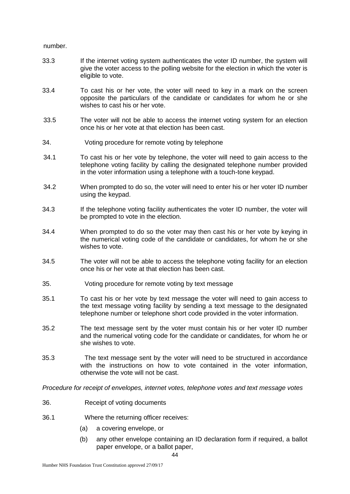number.

- 33.3 If the internet voting system authenticates the voter ID number, the system will give the voter access to the polling website for the election in which the voter is eligible to vote.
- 33.4 To cast his or her vote, the voter will need to key in a mark on the screen opposite the particulars of the candidate or candidates for whom he or she wishes to cast his or her vote.
- 33.5 The voter will not be able to access the internet voting system for an election once his or her vote at that election has been cast.
- 34. Voting procedure for remote voting by telephone
- 34.1 To cast his or her vote by telephone, the voter will need to gain access to the telephone voting facility by calling the designated telephone number provided in the voter information using a telephone with a touch-tone keypad.
- 34.2 When prompted to do so, the voter will need to enter his or her voter ID number using the keypad.
- 34.3 If the telephone voting facility authenticates the voter ID number, the voter will be prompted to vote in the election.
- 34.4 When prompted to do so the voter may then cast his or her vote by keying in the numerical voting code of the candidate or candidates, for whom he or she wishes to vote.
- 34.5 The voter will not be able to access the telephone voting facility for an election once his or her vote at that election has been cast.
- 35. Voting procedure for remote voting by text message
- 35.1 To cast his or her vote by text message the voter will need to gain access to the text message voting facility by sending a text message to the designated telephone number or telephone short code provided in the voter information.
- 35.2 The text message sent by the voter must contain his or her voter ID number and the numerical voting code for the candidate or candidates, for whom he or she wishes to vote.
- 35.3 The text message sent by the voter will need to be structured in accordance with the instructions on how to vote contained in the voter information, otherwise the vote will not be cast.

*Procedure for receipt of envelopes, internet votes, telephone votes and text message votes*

- 36. Receipt of voting documents
- 36.1 Where the returning officer receives:
	- (a) a covering envelope, or
	- (b) any other envelope containing an ID declaration form if required, a ballot paper envelope, or a ballot paper,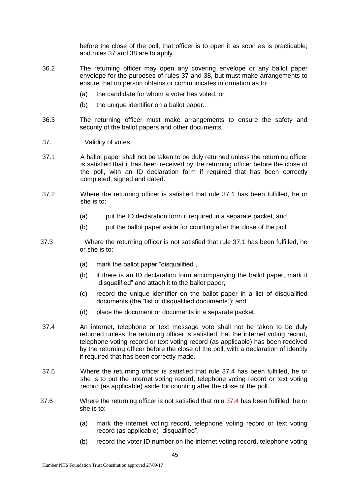before the close of the poll, that officer is to open it as soon as is practicable; and rules 37 and 38 are to apply.

- 36.2 The returning officer may open any covering envelope or any ballot paper envelope for the purposes of rules 37 and 38, but must make arrangements to ensure that no person obtains or communicates information as to:
	- (a) the candidate for whom a voter has voted, or
	- (b) the unique identifier on a ballot paper.
- 36.3 The returning officer must make arrangements to ensure the safety and security of the ballot papers and other documents.
- 37. Validity of votes
- 37.1 A ballot paper shall not be taken to be duly returned unless the returning officer is satisfied that it has been received by the returning officer before the close of the poll, with an ID declaration form if required that has been correctly completed, signed and dated.
- 37.2 Where the returning officer is satisfied that rule 37.1 has been fulfilled, he or she is to:
	- (a) put the ID declaration form if required in a separate packet, and
	- (b) put the ballot paper aside for counting after the close of the poll.
- 37.3 Where the returning officer is not satisfied that rule 37.1 has been fulfilled, he or she is to:
	- (a) mark the ballot paper "disqualified",
	- (b) if there is an ID declaration form accompanying the ballot paper, mark it "disqualified" and attach it to the ballot paper,
	- (c) record the unique identifier on the ballot paper in a list of disqualified documents (the "list of disqualified documents"); and
	- (d) place the document or documents in a separate packet.
- 37.4 An internet, telephone or text message vote shall not be taken to be duly returned unless the returning officer is satisfied that the internet voting record, telephone voting record or text voting record (as applicable) has been received by the returning officer before the close of the poll, with a declaration of identity if required that has been correctly made.
- 37.5 Where the returning officer is satisfied that rule 37.4 has been fulfilled, he or she is to put the internet voting record, telephone voting record or text voting record (as applicable) aside for counting after the close of the poll.
- 37.6 Where the returning officer is not satisfied that rule 37.4 has been fulfilled, he or she is to:
	- (a) mark the internet voting record, telephone voting record or text voting record (as applicable) "disqualified",
	- (b) record the voter ID number on the internet voting record, telephone voting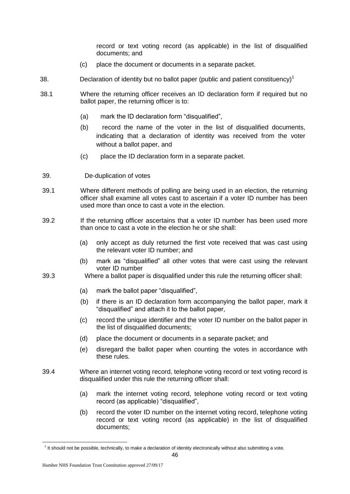record or text voting record (as applicable) in the list of disqualified documents; and

- (c) place the document or documents in a separate packet.
- 38. **Declaration of identity but no ballot paper (public and patient constituency)**<sup>1</sup>
- 38.1 Where the returning officer receives an ID declaration form if required but no ballot paper, the returning officer is to:
	- (a) mark the ID declaration form "disqualified",
	- (b) record the name of the voter in the list of disqualified documents, indicating that a declaration of identity was received from the voter without a ballot paper, and
	- (c) place the ID declaration form in a separate packet.
- 39. De-duplication of votes
- 39.1 Where different methods of polling are being used in an election, the returning officer shall examine all votes cast to ascertain if a voter ID number has been used more than once to cast a vote in the election.
- 39.2 If the returning officer ascertains that a voter ID number has been used more than once to cast a vote in the election he or she shall:
	- (a) only accept as duly returned the first vote received that was cast using the relevant voter ID number; and
	- (b) mark as "disqualified" all other votes that were cast using the relevant voter ID number
- 39.3 Where a ballot paper is disqualified under this rule the returning officer shall:
	- (a) mark the ballot paper "disqualified",
	- (b) if there is an ID declaration form accompanying the ballot paper, mark it "disqualified" and attach it to the ballot paper,
	- (c) record the unique identifier and the voter ID number on the ballot paper in the list of disqualified documents;
	- (d) place the document or documents in a separate packet; and
	- (e) disregard the ballot paper when counting the votes in accordance with these rules.
- 39.4 Where an internet voting record, telephone voting record or text voting record is disqualified under this rule the returning officer shall:
	- (a) mark the internet voting record, telephone voting record or text voting record (as applicable) "disqualified",
	- (b) record the voter ID number on the internet voting record, telephone voting record or text voting record (as applicable) in the list of disqualified documents;

1

<sup>&</sup>lt;sup>1</sup> It should not be possible, technically, to make a declaration of identity electronically without also submitting a vote.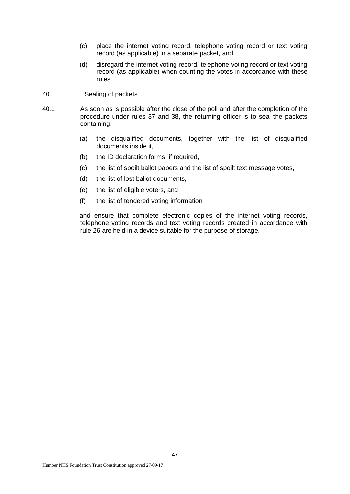- (c) place the internet voting record, telephone voting record or text voting record (as applicable) in a separate packet, and
- (d) disregard the internet voting record, telephone voting record or text voting record (as applicable) when counting the votes in accordance with these rules.
- 40. Sealing of packets
- 40.1 As soon as is possible after the close of the poll and after the completion of the procedure under rules 37 and 38, the returning officer is to seal the packets containing:
	- (a) the disqualified documents, together with the list of disqualified documents inside it,
	- (b) the ID declaration forms, if required,
	- (c) the list of spoilt ballot papers and the list of spoilt text message votes,
	- (d) the list of lost ballot documents,
	- (e) the list of eligible voters, and
	- (f) the list of tendered voting information

and ensure that complete electronic copies of the internet voting records, telephone voting records and text voting records created in accordance with rule 26 are held in a device suitable for the purpose of storage.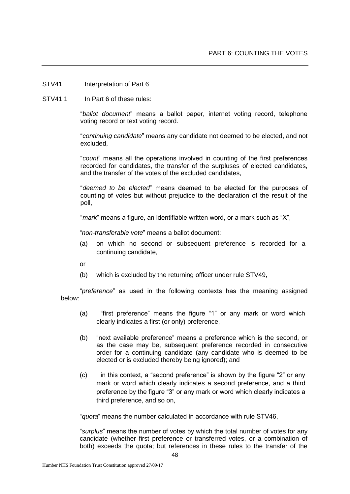- STV41. Interpretation of Part 6
- STV41.1 In Part 6 of these rules:

"*ballot document*" means a ballot paper, internet voting record, telephone voting record or text voting record.

"*continuing candidate*" means any candidate not deemed to be elected, and not excluded,

"*count*" means all the operations involved in counting of the first preferences recorded for candidates, the transfer of the surpluses of elected candidates, and the transfer of the votes of the excluded candidates,

"*deemed to be elected*" means deemed to be elected for the purposes of counting of votes but without prejudice to the declaration of the result of the poll,

"*mark*" means a figure, an identifiable written word, or a mark such as "X",

"*non-transferable vote*" means a ballot document:

(a) on which no second or subsequent preference is recorded for a continuing candidate,

or

(b) which is excluded by the returning officer under rule STV49,

"*preference*" as used in the following contexts has the meaning assigned below:

- (a) "first preference" means the figure "1" or any mark or word which clearly indicates a first (or only) preference,
- (b) "next available preference" means a preference which is the second, or as the case may be, subsequent preference recorded in consecutive order for a continuing candidate (any candidate who is deemed to be elected or is excluded thereby being ignored); and
- (c) in this context, a "second preference" is shown by the figure "2" or any mark or word which clearly indicates a second preference, and a third preference by the figure "3" or any mark or word which clearly indicates a third preference, and so on,

"*quota*" means the number calculated in accordance with rule STV46,

"*surplus*" means the number of votes by which the total number of votes for any candidate (whether first preference or transferred votes, or a combination of both) exceeds the quota; but references in these rules to the transfer of the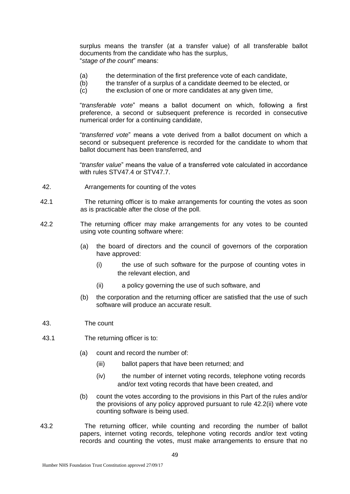surplus means the transfer (at a transfer value) of all transferable ballot documents from the candidate who has the surplus, "*stage of the count*" means:

- (a) the determination of the first preference vote of each candidate,<br>(b) the transfer of a surplus of a candidate deemed to be elected, or
- the transfer of a surplus of a candidate deemed to be elected, or
- (c) the exclusion of one or more candidates at any given time,

"*transferable vote*" means a ballot document on which, following a first preference, a second or subsequent preference is recorded in consecutive numerical order for a continuing candidate,

"*transferred vote*" means a vote derived from a ballot document on which a second or subsequent preference is recorded for the candidate to whom that ballot document has been transferred, and

"*transfer value*" means the value of a transferred vote calculated in accordance with rules STV47.4 or STV47.7.

- 42. Arrangements for counting of the votes
- 42.1 The returning officer is to make arrangements for counting the votes as soon as is practicable after the close of the poll.
- 42.2 The returning officer may make arrangements for any votes to be counted using vote counting software where:
	- (a) the board of directors and the council of governors of the corporation have approved:
		- (i) the use of such software for the purpose of counting votes in the relevant election, and
		- (ii) a policy governing the use of such software, and
	- (b) the corporation and the returning officer are satisfied that the use of such software will produce an accurate result.
- 43. The count
- 43.1 The returning officer is to:
	- (a) count and record the number of:
		- (iii) ballot papers that have been returned; and
		- (iv) the number of internet voting records, telephone voting records and/or text voting records that have been created, and
	- (b) count the votes according to the provisions in this Part of the rules and/or the provisions of any policy approved pursuant to rule 42.2(ii) where vote counting software is being used.
- 43.2 The returning officer, while counting and recording the number of ballot papers, internet voting records, telephone voting records and/or text voting records and counting the votes, must make arrangements to ensure that no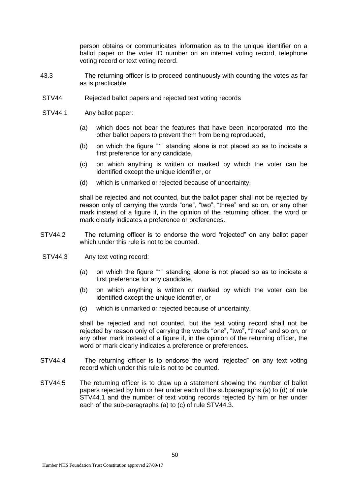person obtains or communicates information as to the unique identifier on a ballot paper or the voter ID number on an internet voting record, telephone voting record or text voting record.

- 43.3 The returning officer is to proceed continuously with counting the votes as far as is practicable.
- STV44. Rejected ballot papers and rejected text voting records
- STV44.1 Any ballot paper:
	- (a) which does not bear the features that have been incorporated into the other ballot papers to prevent them from being reproduced,
	- (b) on which the figure "1" standing alone is not placed so as to indicate a first preference for any candidate,
	- (c) on which anything is written or marked by which the voter can be identified except the unique identifier, or
	- (d) which is unmarked or rejected because of uncertainty,

shall be rejected and not counted, but the ballot paper shall not be rejected by reason only of carrying the words "one", "two", "three" and so on, or any other mark instead of a figure if, in the opinion of the returning officer, the word or mark clearly indicates a preference or preferences.

- STV44.2 The returning officer is to endorse the word "rejected" on any ballot paper which under this rule is not to be counted.
- STV44.3 Any text voting record:
	- (a) on which the figure "1" standing alone is not placed so as to indicate a first preference for any candidate,
	- (b) on which anything is written or marked by which the voter can be identified except the unique identifier, or
	- (c) which is unmarked or rejected because of uncertainty,

shall be rejected and not counted, but the text voting record shall not be rejected by reason only of carrying the words "one", "two", "three" and so on, or any other mark instead of a figure if, in the opinion of the returning officer, the word or mark clearly indicates a preference or preferences.

- STV44.4 The returning officer is to endorse the word "rejected" on any text voting record which under this rule is not to be counted.
- STV44.5 The returning officer is to draw up a statement showing the number of ballot papers rejected by him or her under each of the subparagraphs (a) to (d) of rule STV44.1 and the number of text voting records rejected by him or her under each of the sub-paragraphs (a) to (c) of rule STV44.3.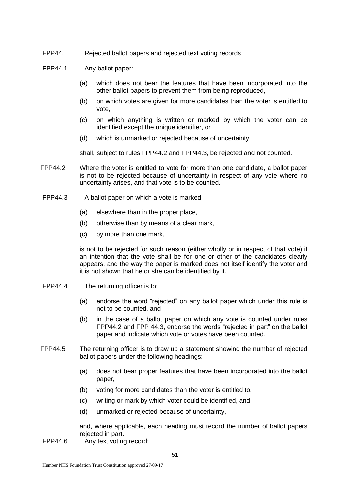- FPP44. Rejected ballot papers and rejected text voting records
- FPP44.1 Any ballot paper:
	- (a) which does not bear the features that have been incorporated into the other ballot papers to prevent them from being reproduced,
	- (b) on which votes are given for more candidates than the voter is entitled to vote,
	- (c) on which anything is written or marked by which the voter can be identified except the unique identifier, or
	- (d) which is unmarked or rejected because of uncertainty,

shall, subject to rules FPP44.2 and FPP44.3, be rejected and not counted.

- FPP44.2 Where the voter is entitled to vote for more than one candidate, a ballot paper is not to be rejected because of uncertainty in respect of any vote where no uncertainty arises, and that vote is to be counted.
- FPP44.3 A ballot paper on which a vote is marked:
	- (a) elsewhere than in the proper place,
	- (b) otherwise than by means of a clear mark,
	- (c) by more than one mark,

is not to be rejected for such reason (either wholly or in respect of that vote) if an intention that the vote shall be for one or other of the candidates clearly appears, and the way the paper is marked does not itself identify the voter and it is not shown that he or she can be identified by it.

- FPP44.4 The returning officer is to:
	- (a) endorse the word "rejected" on any ballot paper which under this rule is not to be counted, and
	- (b) in the case of a ballot paper on which any vote is counted under rules FPP44.2 and FPP 44.3, endorse the words "rejected in part" on the ballot paper and indicate which vote or votes have been counted.
- FPP44.5 The returning officer is to draw up a statement showing the number of rejected ballot papers under the following headings:
	- (a) does not bear proper features that have been incorporated into the ballot paper,
	- (b) voting for more candidates than the voter is entitled to,
	- (c) writing or mark by which voter could be identified, and
	- (d) unmarked or rejected because of uncertainty,

and, where applicable, each heading must record the number of ballot papers rejected in part.

FPP44.6 Any text voting record: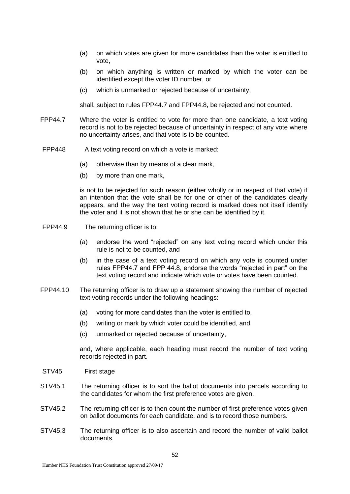- (a) on which votes are given for more candidates than the voter is entitled to vote,
- (b) on which anything is written or marked by which the voter can be identified except the voter ID number, or
- (c) which is unmarked or rejected because of uncertainty,

shall, subject to rules FPP44.7 and FPP44.8, be rejected and not counted.

- FPP44.7 Where the voter is entitled to vote for more than one candidate, a text voting record is not to be rejected because of uncertainty in respect of any vote where no uncertainty arises, and that vote is to be counted.
- FPP448 A text voting record on which a vote is marked:
	- (a) otherwise than by means of a clear mark,
	- (b) by more than one mark,

is not to be rejected for such reason (either wholly or in respect of that vote) if an intention that the vote shall be for one or other of the candidates clearly appears, and the way the text voting record is marked does not itself identify the voter and it is not shown that he or she can be identified by it.

- FPP44.9 The returning officer is to:
	- (a) endorse the word "rejected" on any text voting record which under this rule is not to be counted, and
	- (b) in the case of a text voting record on which any vote is counted under rules FPP44.7 and FPP 44.8, endorse the words "rejected in part" on the text voting record and indicate which vote or votes have been counted.
- FPP44.10 The returning officer is to draw up a statement showing the number of rejected text voting records under the following headings:
	- (a) voting for more candidates than the voter is entitled to,
	- (b) writing or mark by which voter could be identified, and
	- (c) unmarked or rejected because of uncertainty,

and, where applicable, each heading must record the number of text voting records rejected in part.

- STV45. First stage
- STV45.1 The returning officer is to sort the ballot documents into parcels according to the candidates for whom the first preference votes are given.
- STV45.2 The returning officer is to then count the number of first preference votes given on ballot documents for each candidate, and is to record those numbers.
- STV45.3 The returning officer is to also ascertain and record the number of valid ballot documents.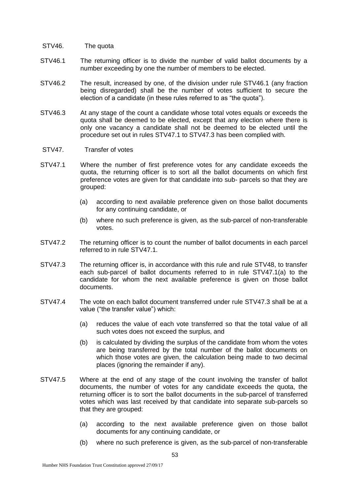- STV46. The quota
- STV46.1 The returning officer is to divide the number of valid ballot documents by a number exceeding by one the number of members to be elected.
- STV46.2 The result, increased by one, of the division under rule STV46.1 (any fraction being disregarded) shall be the number of votes sufficient to secure the election of a candidate (in these rules referred to as "the quota").
- STV46.3 At any stage of the count a candidate whose total votes equals or exceeds the quota shall be deemed to be elected, except that any election where there is only one vacancy a candidate shall not be deemed to be elected until the procedure set out in rules STV47.1 to STV47.3 has been complied with.
- STV47. Transfer of votes
- STV47.1 Where the number of first preference votes for any candidate exceeds the quota, the returning officer is to sort all the ballot documents on which first preference votes are given for that candidate into sub- parcels so that they are grouped:
	- (a) according to next available preference given on those ballot documents for any continuing candidate, or
	- (b) where no such preference is given, as the sub-parcel of non-transferable votes.
- STV47.2 The returning officer is to count the number of ballot documents in each parcel referred to in rule STV47.1.
- STV47.3 The returning officer is, in accordance with this rule and rule STV48, to transfer each sub-parcel of ballot documents referred to in rule STV47.1(a) to the candidate for whom the next available preference is given on those ballot documents.
- STV47.4 The vote on each ballot document transferred under rule STV47.3 shall be at a value ("the transfer value") which:
	- (a) reduces the value of each vote transferred so that the total value of all such votes does not exceed the surplus, and
	- (b) is calculated by dividing the surplus of the candidate from whom the votes are being transferred by the total number of the ballot documents on which those votes are given, the calculation being made to two decimal places (ignoring the remainder if any).
- STV47.5 Where at the end of any stage of the count involving the transfer of ballot documents, the number of votes for any candidate exceeds the quota, the returning officer is to sort the ballot documents in the sub-parcel of transferred votes which was last received by that candidate into separate sub-parcels so that they are grouped:
	- (a) according to the next available preference given on those ballot documents for any continuing candidate, or
	- (b) where no such preference is given, as the sub-parcel of non-transferable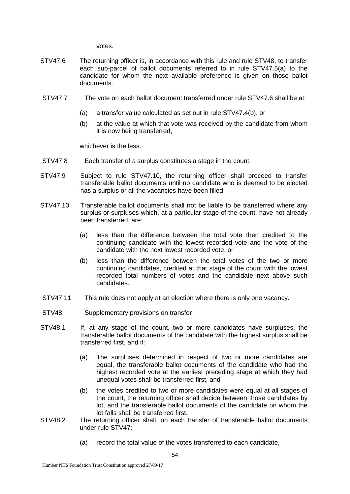votes.

- STV47.6 The returning officer is, in accordance with this rule and rule STV48, to transfer each sub-parcel of ballot documents referred to in rule STV47.5(a) to the candidate for whom the next available preference is given on those ballot documents.
- STV47.7 The vote on each ballot document transferred under rule STV47.6 shall be at:
	- (a) a transfer value calculated as set out in rule STV47.4(b), or
	- (b) at the value at which that vote was received by the candidate from whom it is now being transferred,

whichever is the less.

- STV47.8 Each transfer of a surplus constitutes a stage in the count.
- STV47.9 Subject to rule STV47.10, the returning officer shall proceed to transfer transferable ballot documents until no candidate who is deemed to be elected has a surplus or all the vacancies have been filled.
- STV47.10 Transferable ballot documents shall not be liable to be transferred where any surplus or surpluses which, at a particular stage of the count, have not already been transferred, are:
	- (a) less than the difference between the total vote then credited to the continuing candidate with the lowest recorded vote and the vote of the candidate with the next lowest recorded vote, or
	- (b) less than the difference between the total votes of the two or more continuing candidates, credited at that stage of the count with the lowest recorded total numbers of votes and the candidate next above such candidates.
- STV47.11 This rule does not apply at an election where there is only one vacancy.
- STV48. Supplementary provisions on transfer
- STV48.1 If, at any stage of the count, two or more candidates have surpluses, the transferable ballot documents of the candidate with the highest surplus shall be transferred first, and if:
	- (a) The surpluses determined in respect of two or more candidates are equal, the transferable ballot documents of the candidate who had the highest recorded vote at the earliest preceding stage at which they had unequal votes shall be transferred first, and
	- (b) the votes credited to two or more candidates were equal at all stages of the count, the returning officer shall decide between those candidates by lot, and the transferable ballot documents of the candidate on whom the lot falls shall be transferred first.
- STV48.2 The returning officer shall, on each transfer of transferable ballot documents under rule STV47:
	- (a) record the total value of the votes transferred to each candidate,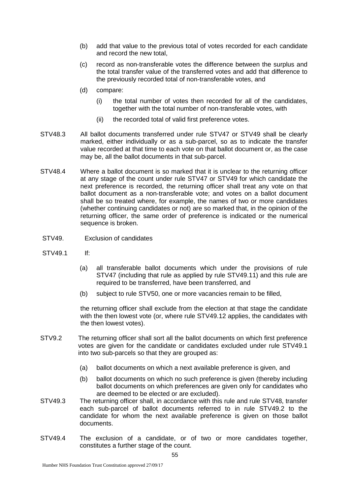- (b) add that value to the previous total of votes recorded for each candidate and record the new total,
- (c) record as non-transferable votes the difference between the surplus and the total transfer value of the transferred votes and add that difference to the previously recorded total of non-transferable votes, and
- (d) compare:
	- (i) the total number of votes then recorded for all of the candidates, together with the total number of non-transferable votes, with
	- (ii) the recorded total of valid first preference votes.
- STV48.3 All ballot documents transferred under rule STV47 or STV49 shall be clearly marked, either individually or as a sub-parcel, so as to indicate the transfer value recorded at that time to each vote on that ballot document or, as the case may be, all the ballot documents in that sub-parcel.
- STV48.4 Where a ballot document is so marked that it is unclear to the returning officer at any stage of the count under rule STV47 or STV49 for which candidate the next preference is recorded, the returning officer shall treat any vote on that ballot document as a non-transferable vote; and votes on a ballot document shall be so treated where, for example, the names of two or more candidates (whether continuing candidates or not) are so marked that, in the opinion of the returning officer, the same order of preference is indicated or the numerical sequence is broken.
- STV49. Exclusion of candidates
- STV49.1 If:
	- (a) all transferable ballot documents which under the provisions of rule STV47 (including that rule as applied by rule STV49.11) and this rule are required to be transferred, have been transferred, and
	- (b) subject to rule STV50, one or more vacancies remain to be filled,

the returning officer shall exclude from the election at that stage the candidate with the then lowest vote (or, where rule STV49.12 applies, the candidates with the then lowest votes).

- STV9.2 The returning officer shall sort all the ballot documents on which first preference votes are given for the candidate or candidates excluded under rule STV49.1 into two sub-parcels so that they are grouped as:
	- (a) ballot documents on which a next available preference is given, and
	- (b) ballot documents on which no such preference is given (thereby including ballot documents on which preferences are given only for candidates who are deemed to be elected or are excluded).
- STV49.3 The returning officer shall, in accordance with this rule and rule STV48, transfer each sub-parcel of ballot documents referred to in rule STV49.2 to the candidate for whom the next available preference is given on those ballot documents.
- STV49.4 The exclusion of a candidate, or of two or more candidates together, constitutes a further stage of the count.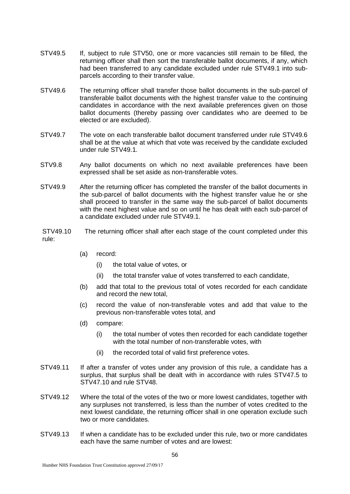- STV49.5 If, subject to rule STV50, one or more vacancies still remain to be filled, the returning officer shall then sort the transferable ballot documents, if any, which had been transferred to any candidate excluded under rule STV49.1 into subparcels according to their transfer value.
- STV49.6 The returning officer shall transfer those ballot documents in the sub-parcel of transferable ballot documents with the highest transfer value to the continuing candidates in accordance with the next available preferences given on those ballot documents (thereby passing over candidates who are deemed to be elected or are excluded).
- STV49.7 The vote on each transferable ballot document transferred under rule STV49.6 shall be at the value at which that vote was received by the candidate excluded under rule STV49.1.
- STV9.8 Any ballot documents on which no next available preferences have been expressed shall be set aside as non-transferable votes.
- STV49.9 After the returning officer has completed the transfer of the ballot documents in the sub-parcel of ballot documents with the highest transfer value he or she shall proceed to transfer in the same way the sub-parcel of ballot documents with the next highest value and so on until he has dealt with each sub-parcel of a candidate excluded under rule STV49.1.
- STV49.10 The returning officer shall after each stage of the count completed under this rule:
	- (a) record:
		- (i) the total value of votes, or
		- (ii) the total transfer value of votes transferred to each candidate,
	- (b) add that total to the previous total of votes recorded for each candidate and record the new total,
	- (c) record the value of non-transferable votes and add that value to the previous non-transferable votes total, and
	- (d) compare:
		- (i) the total number of votes then recorded for each candidate together with the total number of non-transferable votes, with
		- (ii) the recorded total of valid first preference votes.
- STV49.11 If after a transfer of votes under any provision of this rule, a candidate has a surplus, that surplus shall be dealt with in accordance with rules STV47.5 to STV47.10 and rule STV48.
- STV49.12 Where the total of the votes of the two or more lowest candidates, together with any surpluses not transferred, is less than the number of votes credited to the next lowest candidate, the returning officer shall in one operation exclude such two or more candidates.
- STV49.13 If when a candidate has to be excluded under this rule, two or more candidates each have the same number of votes and are lowest: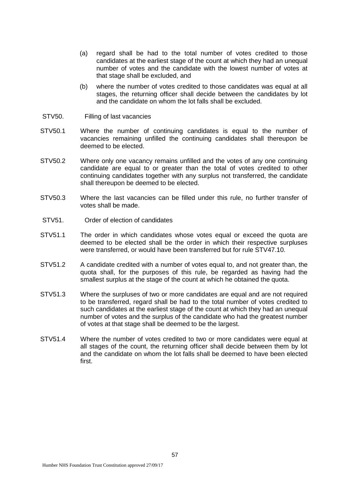- (a) regard shall be had to the total number of votes credited to those candidates at the earliest stage of the count at which they had an unequal number of votes and the candidate with the lowest number of votes at that stage shall be excluded, and
- (b) where the number of votes credited to those candidates was equal at all stages, the returning officer shall decide between the candidates by lot and the candidate on whom the lot falls shall be excluded.
- STV50. Filling of last vacancies
- STV50.1 Where the number of continuing candidates is equal to the number of vacancies remaining unfilled the continuing candidates shall thereupon be deemed to be elected.
- STV50.2 Where only one vacancy remains unfilled and the votes of any one continuing candidate are equal to or greater than the total of votes credited to other continuing candidates together with any surplus not transferred, the candidate shall thereupon be deemed to be elected.
- STV50.3 Where the last vacancies can be filled under this rule, no further transfer of votes shall be made.
- STV51. Order of election of candidates
- STV51.1 The order in which candidates whose votes equal or exceed the quota are deemed to be elected shall be the order in which their respective surpluses were transferred, or would have been transferred but for rule STV47.10.
- STV51.2 A candidate credited with a number of votes equal to, and not greater than, the quota shall, for the purposes of this rule, be regarded as having had the smallest surplus at the stage of the count at which he obtained the quota.
- STV51.3 Where the surpluses of two or more candidates are equal and are not required to be transferred, regard shall be had to the total number of votes credited to such candidates at the earliest stage of the count at which they had an unequal number of votes and the surplus of the candidate who had the greatest number of votes at that stage shall be deemed to be the largest.
- STV51.4 Where the number of votes credited to two or more candidates were equal at all stages of the count, the returning officer shall decide between them by lot and the candidate on whom the lot falls shall be deemed to have been elected first.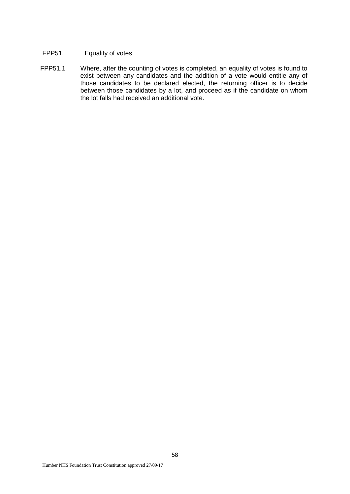## FPP51. Equality of votes

FPP51.1 Where, after the counting of votes is completed, an equality of votes is found to exist between any candidates and the addition of a vote would entitle any of those candidates to be declared elected, the returning officer is to decide between those candidates by a lot, and proceed as if the candidate on whom the lot falls had received an additional vote.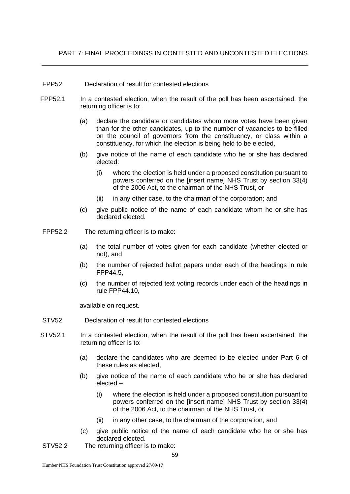- FPP52. Declaration of result for contested elections
- FPP52.1 In a contested election, when the result of the poll has been ascertained, the returning officer is to:
	- (a) declare the candidate or candidates whom more votes have been given than for the other candidates, up to the number of vacancies to be filled on the council of governors from the constituency, or class within a constituency, for which the election is being held to be elected,
	- (b) give notice of the name of each candidate who he or she has declared elected:
		- (i) where the election is held under a proposed constitution pursuant to powers conferred on the [insert name] NHS Trust by section 33(4) of the 2006 Act, to the chairman of the NHS Trust, or
		- (ii) in any other case, to the chairman of the corporation; and
	- (c) give public notice of the name of each candidate whom he or she has declared elected.
- FPP52.2 The returning officer is to make:
	- (a) the total number of votes given for each candidate (whether elected or not), and
	- (b) the number of rejected ballot papers under each of the headings in rule FPP44.5,
	- (c) the number of rejected text voting records under each of the headings in rule FPP44.10,

available on request.

- STV52. Declaration of result for contested elections
- STV52.1 In a contested election, when the result of the poll has been ascertained, the returning officer is to:
	- (a) declare the candidates who are deemed to be elected under Part 6 of these rules as elected,
	- (b) give notice of the name of each candidate who he or she has declared elected –
		- (i) where the election is held under a proposed constitution pursuant to powers conferred on the [insert name] NHS Trust by section 33(4) of the 2006 Act, to the chairman of the NHS Trust, or
		- (ii) in any other case, to the chairman of the corporation, and
	- (c) give public notice of the name of each candidate who he or she has declared elected.
- STV52.2 The returning officer is to make: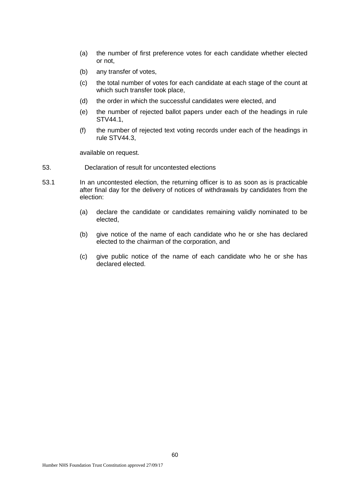- (a) the number of first preference votes for each candidate whether elected or not,
- (b) any transfer of votes,
- (c) the total number of votes for each candidate at each stage of the count at which such transfer took place,
- (d) the order in which the successful candidates were elected, and
- (e) the number of rejected ballot papers under each of the headings in rule STV44.1,
- (f) the number of rejected text voting records under each of the headings in rule STV44.3,

available on request.

- 53. Declaration of result for uncontested elections
- 53.1 In an uncontested election, the returning officer is to as soon as is practicable after final day for the delivery of notices of withdrawals by candidates from the election:
	- (a) declare the candidate or candidates remaining validly nominated to be elected,
	- (b) give notice of the name of each candidate who he or she has declared elected to the chairman of the corporation, and
	- (c) give public notice of the name of each candidate who he or she has declared elected.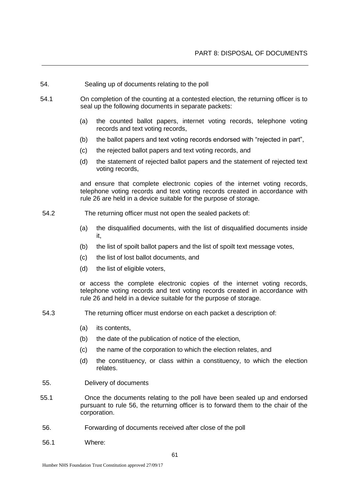- 54. Sealing up of documents relating to the poll
- 54.1 On completion of the counting at a contested election, the returning officer is to seal up the following documents in separate packets:
	- (a) the counted ballot papers, internet voting records, telephone voting records and text voting records,
	- (b) the ballot papers and text voting records endorsed with "rejected in part",
	- (c) the rejected ballot papers and text voting records, and
	- (d) the statement of rejected ballot papers and the statement of rejected text voting records,

and ensure that complete electronic copies of the internet voting records, telephone voting records and text voting records created in accordance with rule 26 are held in a device suitable for the purpose of storage.

- 54.2 The returning officer must not open the sealed packets of:
	- (a) the disqualified documents, with the list of disqualified documents inside it,
	- (b) the list of spoilt ballot papers and the list of spoilt text message votes,
	- (c) the list of lost ballot documents, and
	- (d) the list of eligible voters,

or access the complete electronic copies of the internet voting records, telephone voting records and text voting records created in accordance with rule 26 and held in a device suitable for the purpose of storage.

- 54.3 The returning officer must endorse on each packet a description of:
	- (a) its contents,
	- (b) the date of the publication of notice of the election,
	- (c) the name of the corporation to which the election relates, and
	- (d) the constituency, or class within a constituency, to which the election relates.
- 55. Delivery of documents
- 55.1 Once the documents relating to the poll have been sealed up and endorsed pursuant to rule 56, the returning officer is to forward them to the chair of the corporation.
- 56. Forwarding of documents received after close of the poll
- 56.1 Where: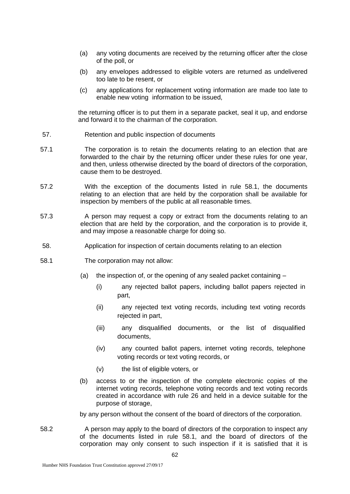- (a) any voting documents are received by the returning officer after the close of the poll, or
- (b) any envelopes addressed to eligible voters are returned as undelivered too late to be resent, or
- (c) any applications for replacement voting information are made too late to enable new voting information to be issued,

the returning officer is to put them in a separate packet, seal it up, and endorse and forward it to the chairman of the corporation.

- 57. Retention and public inspection of documents
- 57.1 The corporation is to retain the documents relating to an election that are forwarded to the chair by the returning officer under these rules for one year, and then, unless otherwise directed by the board of directors of the corporation, cause them to be destroyed.
- 57.2 With the exception of the documents listed in rule 58.1, the documents relating to an election that are held by the corporation shall be available for inspection by members of the public at all reasonable times.
- 57.3 A person may request a copy or extract from the documents relating to an election that are held by the corporation, and the corporation is to provide it, and may impose a reasonable charge for doing so.
- 58. Application for inspection of certain documents relating to an election
- 58.1 The corporation may not allow:
	- (a) the inspection of, or the opening of any sealed packet containing
		- (i) any rejected ballot papers, including ballot papers rejected in part,
		- (ii) any rejected text voting records, including text voting records rejected in part,
		- (iii) any disqualified documents, or the list of disqualified documents,
		- (iv) any counted ballot papers, internet voting records, telephone voting records or text voting records, or
		- (v) the list of eligible voters, or
	- (b) access to or the inspection of the complete electronic copies of the internet voting records, telephone voting records and text voting records created in accordance with rule 26 and held in a device suitable for the purpose of storage,

by any person without the consent of the board of directors of the corporation.

58.2 A person may apply to the board of directors of the corporation to inspect any of the documents listed in rule 58.1, and the board of directors of the corporation may only consent to such inspection if it is satisfied that it is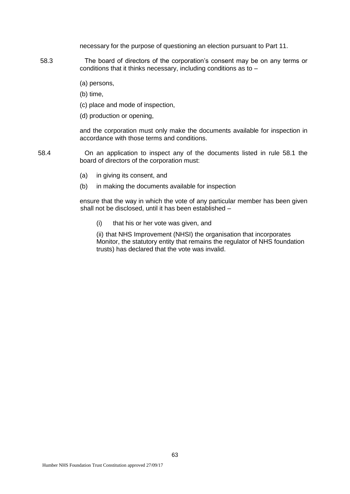necessary for the purpose of questioning an election pursuant to Part 11.

- 58.3 The board of directors of the corporation's consent may be on any terms or conditions that it thinks necessary, including conditions as to –
	- (a) persons,
	- (b) time,
	- (c) place and mode of inspection,
	- (d) production or opening,

and the corporation must only make the documents available for inspection in accordance with those terms and conditions.

- 58.4 On an application to inspect any of the documents listed in rule 58.1 the board of directors of the corporation must:
	- (a) in giving its consent, and
	- (b) in making the documents available for inspection

ensure that the way in which the vote of any particular member has been given shall not be disclosed, until it has been established –

(i) that his or her vote was given, and

(ii) that NHS Improvement (NHSI) the organisation that incorporates Monitor, the statutory entity that remains the regulator of NHS foundation trusts) has declared that the vote was invalid.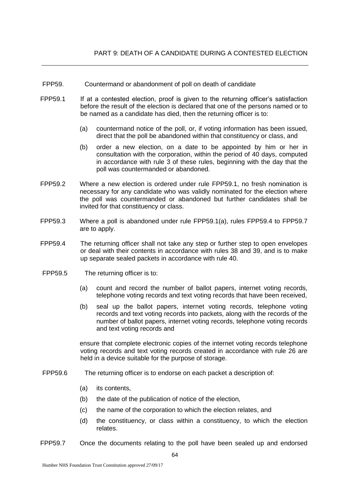- FPP59. Countermand or abandonment of poll on death of candidate
- FPP59.1 If at a contested election, proof is given to the returning officer's satisfaction before the result of the election is declared that one of the persons named or to be named as a candidate has died, then the returning officer is to:
	- (a) countermand notice of the poll, or, if voting information has been issued, direct that the poll be abandoned within that constituency or class, and
	- (b) order a new election, on a date to be appointed by him or her in consultation with the corporation, within the period of 40 days, computed in accordance with rule 3 of these rules, beginning with the day that the poll was countermanded or abandoned.
- FPP59.2 Where a new election is ordered under rule FPP59.1, no fresh nomination is necessary for any candidate who was validly nominated for the election where the poll was countermanded or abandoned but further candidates shall be invited for that constituency or class.
- FPP59.3 Where a poll is abandoned under rule FPP59.1(a), rules FPP59.4 to FPP59.7 are to apply.
- FPP59.4 The returning officer shall not take any step or further step to open envelopes or deal with their contents in accordance with rules 38 and 39, and is to make up separate sealed packets in accordance with rule 40.
- FPP59.5 The returning officer is to:
	- (a) count and record the number of ballot papers, internet voting records, telephone voting records and text voting records that have been received,
	- (b) seal up the ballot papers, internet voting records, telephone voting records and text voting records into packets, along with the records of the number of ballot papers, internet voting records, telephone voting records and text voting records and

ensure that complete electronic copies of the internet voting records telephone voting records and text voting records created in accordance with rule 26 are held in a device suitable for the purpose of storage.

- FPP59.6 The returning officer is to endorse on each packet a description of:
	- (a) its contents,
	- (b) the date of the publication of notice of the election,
	- (c) the name of the corporation to which the election relates, and
	- (d) the constituency, or class within a constituency, to which the election relates.
- FPP59.7 Once the documents relating to the poll have been sealed up and endorsed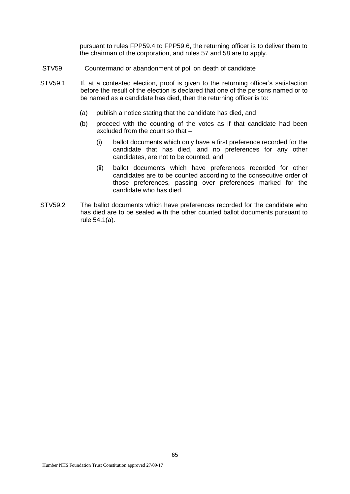pursuant to rules FPP59.4 to FPP59.6, the returning officer is to deliver them to the chairman of the corporation, and rules 57 and 58 are to apply.

- STV59. Countermand or abandonment of poll on death of candidate
- STV59.1 If, at a contested election, proof is given to the returning officer's satisfaction before the result of the election is declared that one of the persons named or to be named as a candidate has died, then the returning officer is to:
	- (a) publish a notice stating that the candidate has died, and
	- (b) proceed with the counting of the votes as if that candidate had been excluded from the count so that –
		- (i) ballot documents which only have a first preference recorded for the candidate that has died, and no preferences for any other candidates, are not to be counted, and
		- (ii) ballot documents which have preferences recorded for other candidates are to be counted according to the consecutive order of those preferences, passing over preferences marked for the candidate who has died.
- STV59.2 The ballot documents which have preferences recorded for the candidate who has died are to be sealed with the other counted ballot documents pursuant to rule 54.1(a).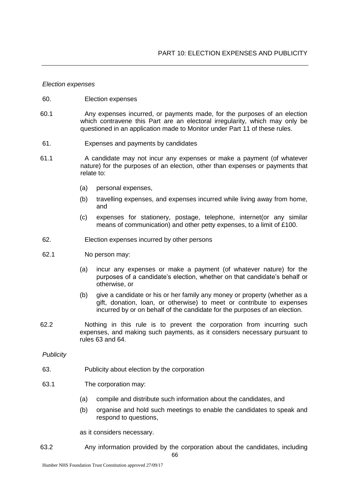#### *Election expenses*

- 60. Election expenses
- 60.1 Any expenses incurred, or payments made, for the purposes of an election which contravene this Part are an electoral irregularity, which may only be questioned in an application made to Monitor under Part 11 of these rules.
- 61. Expenses and payments by candidates
- 61.1 A candidate may not incur any expenses or make a payment (of whatever nature) for the purposes of an election, other than expenses or payments that relate to:
	- (a) personal expenses,
	- (b) travelling expenses, and expenses incurred while living away from home, and
	- (c) expenses for stationery, postage, telephone, internet(or any similar means of communication) and other petty expenses, to a limit of £100.
- 62. Election expenses incurred by other persons
- 62.1 No person may:
	- (a) incur any expenses or make a payment (of whatever nature) for the purposes of a candidate's election, whether on that candidate's behalf or otherwise, or
	- (b) give a candidate or his or her family any money or property (whether as a gift, donation, loan, or otherwise) to meet or contribute to expenses incurred by or on behalf of the candidate for the purposes of an election.
- 62.2 Nothing in this rule is to prevent the corporation from incurring such expenses, and making such payments, as it considers necessary pursuant to rules 63 and 64.

### *Publicity*

- 63. Publicity about election by the corporation
- 63.1 The corporation may:
	- (a) compile and distribute such information about the candidates, and
	- (b) organise and hold such meetings to enable the candidates to speak and respond to questions,

as it considers necessary.

66 63.2 Any information provided by the corporation about the candidates, including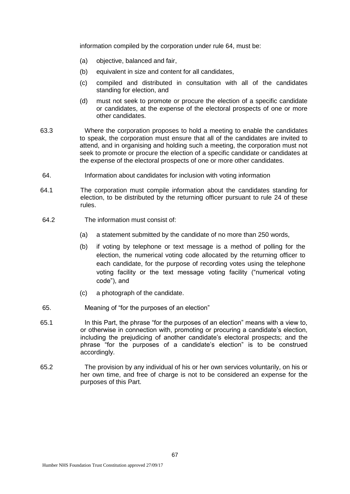information compiled by the corporation under rule 64, must be:

- (a) objective, balanced and fair,
- (b) equivalent in size and content for all candidates,
- (c) compiled and distributed in consultation with all of the candidates standing for election, and
- (d) must not seek to promote or procure the election of a specific candidate or candidates, at the expense of the electoral prospects of one or more other candidates.
- 63.3 Where the corporation proposes to hold a meeting to enable the candidates to speak, the corporation must ensure that all of the candidates are invited to attend, and in organising and holding such a meeting, the corporation must not seek to promote or procure the election of a specific candidate or candidates at the expense of the electoral prospects of one or more other candidates.
- 64. Information about candidates for inclusion with voting information
- 64.1 The corporation must compile information about the candidates standing for election, to be distributed by the returning officer pursuant to rule 24 of these rules.
- 64.2 The information must consist of:
	- (a) a statement submitted by the candidate of no more than 250 words,
	- (b) if voting by telephone or text message is a method of polling for the election, the numerical voting code allocated by the returning officer to each candidate, for the purpose of recording votes using the telephone voting facility or the text message voting facility ("numerical voting code"), and
	- (c) a photograph of the candidate.
- 65. Meaning of "for the purposes of an election"
- 65.1 In this Part, the phrase "for the purposes of an election" means with a view to, or otherwise in connection with, promoting or procuring a candidate's election, including the prejudicing of another candidate's electoral prospects; and the phrase "for the purposes of a candidate's election" is to be construed accordingly.
- 65.2 The provision by any individual of his or her own services voluntarily, on his or her own time, and free of charge is not to be considered an expense for the purposes of this Part.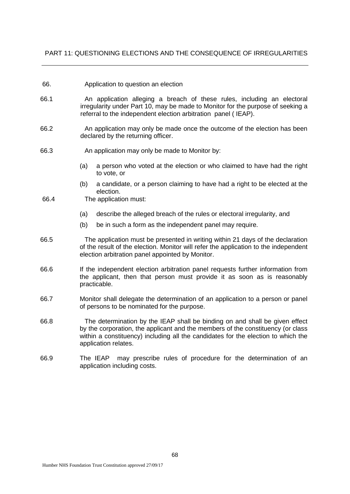## PART 11: QUESTIONING ELECTIONS AND THE CONSEQUENCE OF IRREGULARITIES

### 66. Application to question an election

- 66.1 An application alleging a breach of these rules, including an electoral irregularity under Part 10, may be made to Monitor for the purpose of seeking a referral to the independent election arbitration panel ( IEAP).
- 66.2 An application may only be made once the outcome of the election has been declared by the returning officer.
- 66.3 An application may only be made to Monitor by:
	- (a) a person who voted at the election or who claimed to have had the right to vote, or
	- (b) a candidate, or a person claiming to have had a right to be elected at the election.
- 66.4 The application must:
	- (a) describe the alleged breach of the rules or electoral irregularity, and
	- (b) be in such a form as the independent panel may require.
- 66.5 The application must be presented in writing within 21 days of the declaration of the result of the election. Monitor will refer the application to the independent election arbitration panel appointed by Monitor.
- 66.6 If the independent election arbitration panel requests further information from the applicant, then that person must provide it as soon as is reasonably practicable.
- 66.7 Monitor shall delegate the determination of an application to a person or panel of persons to be nominated for the purpose.
- 66.8 The determination by the IEAP shall be binding on and shall be given effect by the corporation, the applicant and the members of the constituency (or class within a constituency) including all the candidates for the election to which the application relates.
- 66.9 The IEAP may prescribe rules of procedure for the determination of an application including costs.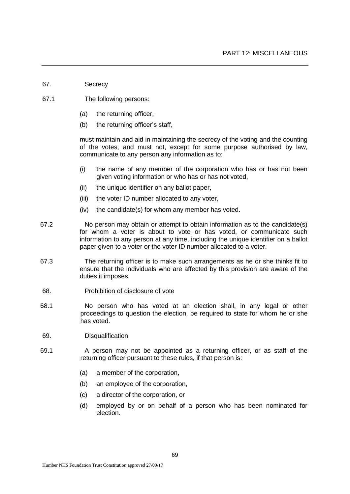- 67. Secrecy
- 67.1 The following persons:
	- (a) the returning officer,
	- (b) the returning officer's staff,

must maintain and aid in maintaining the secrecy of the voting and the counting of the votes, and must not, except for some purpose authorised by law, communicate to any person any information as to:

- (i) the name of any member of the corporation who has or has not been given voting information or who has or has not voted,
- (ii) the unique identifier on any ballot paper,
- (iii) the voter ID number allocated to any voter,
- (iv) the candidate(s) for whom any member has voted.
- 67.2 No person may obtain or attempt to obtain information as to the candidate(s) for whom a voter is about to vote or has voted, or communicate such information to any person at any time, including the unique identifier on a ballot paper given to a voter or the voter ID number allocated to a voter.
- 67.3 The returning officer is to make such arrangements as he or she thinks fit to ensure that the individuals who are affected by this provision are aware of the duties it imposes.
- 68. Prohibition of disclosure of vote
- 68.1 No person who has voted at an election shall, in any legal or other proceedings to question the election, be required to state for whom he or she has voted.
- 69. Disqualification
- 69.1 A person may not be appointed as a returning officer, or as staff of the returning officer pursuant to these rules, if that person is:
	- (a) a member of the corporation,
	- (b) an employee of the corporation,
	- (c) a director of the corporation, or
	- (d) employed by or on behalf of a person who has been nominated for election.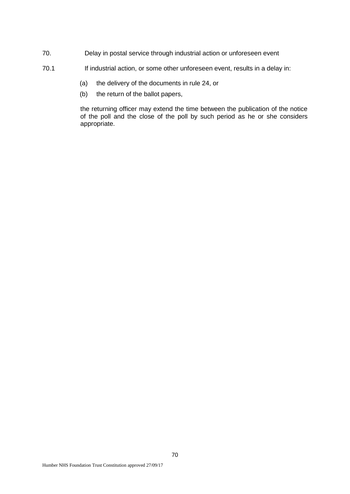- 70. Delay in postal service through industrial action or unforeseen event
- 70.1 If industrial action, or some other unforeseen event, results in a delay in:
	- (a) the delivery of the documents in rule 24, or
	- (b) the return of the ballot papers,

the returning officer may extend the time between the publication of the notice of the poll and the close of the poll by such period as he or she considers appropriate.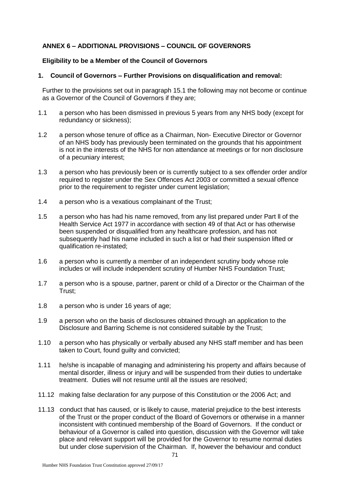# **ANNEX 6 – ADDITIONAL PROVISIONS – COUNCIL OF GOVERNORS**

## **Eligibility to be a Member of the Council of Governors**

## **1. Council of Governors – Further Provisions on disqualification and removal:**

Further to the provisions set out in paragraph 15.1 the following may not become or continue as a Governor of the Council of Governors if they are;

- 1.1 a person who has been dismissed in previous 5 years from any NHS body (except for redundancy or sickness);
- 1.2 a person whose tenure of office as a Chairman, Non- Executive Director or Governor of an NHS body has previously been terminated on the grounds that his appointment is not in the interests of the NHS for non attendance at meetings or for non disclosure of a pecuniary interest;
- 1.3 a person who has previously been or is currently subject to a sex offender order and/or required to register under the Sex Offences Act 2003 or committed a sexual offence prior to the requirement to register under current legislation;
- 1.4 a person who is a vexatious complainant of the Trust;
- 1.5 a person who has had his name removed, from any list prepared under Part ll of the Health Service Act 1977 in accordance with section 49 of that Act or has otherwise been suspended or disqualified from any healthcare profession, and has not subsequently had his name included in such a list or had their suspension lifted or qualification re-instated;
- 1.6 a person who is currently a member of an independent scrutiny body whose role includes or will include independent scrutiny of Humber NHS Foundation Trust;
- 1.7 a person who is a spouse, partner, parent or child of a Director or the Chairman of the Trust;
- 1.8 a person who is under 16 years of age;
- 1.9 a person who on the basis of disclosures obtained through an application to the Disclosure and Barring Scheme is not considered suitable by the Trust;
- 1.10 a person who has physically or verbally abused any NHS staff member and has been taken to Court, found guilty and convicted;
- 1.11 he/she is incapable of managing and administering his property and affairs because of mental disorder, illness or injury and will be suspended from their duties to undertake treatment. Duties will not resume until all the issues are resolved;
- 11.12 making false declaration for any purpose of this Constitution or the 2006 Act; and
- 11.13 conduct that has caused, or is likely to cause, material prejudice to the best interests of the Trust or the proper conduct of the Board of Governors or otherwise in a manner inconsistent with continued membership of the Board of Governors. If the conduct or behaviour of a Governor is called into question, discussion with the Governor will take place and relevant support will be provided for the Governor to resume normal duties but under close supervision of the Chairman. If, however the behaviour and conduct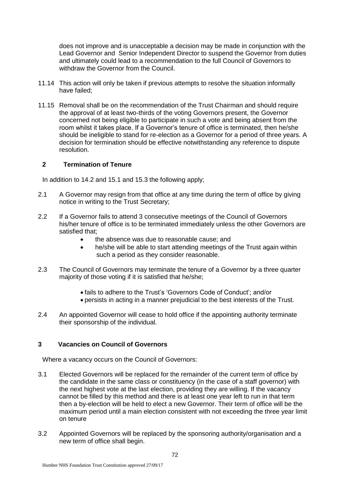does not improve and is unacceptable a decision may be made in conjunction with the Lead Governor and Senior Independent Director to suspend the Governor from duties and ultimately could lead to a recommendation to the full Council of Governors to withdraw the Governor from the Council.

- 11.14 This action will only be taken if previous attempts to resolve the situation informally have failed;
- 11.15 Removal shall be on the recommendation of the Trust Chairman and should require the approval of at least two-thirds of the voting Governors present, the Governor concerned not being eligible to participate in such a vote and being absent from the room whilst it takes place. If a Governor's tenure of office is terminated, then he/she should be ineligible to stand for re-election as a Governor for a period of three years. A decision for termination should be effective notwithstanding any reference to dispute resolution.

## **2 Termination of Tenure**

In addition to 14.2 and 15.1 and 15.3 the following apply;

- 2.1 A Governor may resign from that office at any time during the term of office by giving notice in writing to the Trust Secretary;
- 2.2 If a Governor fails to attend 3 consecutive meetings of the Council of Governors his/her tenure of office is to be terminated immediately unless the other Governors are satisfied that;
	- the absence was due to reasonable cause; and
	- he/she will be able to start attending meetings of the Trust again within such a period as they consider reasonable.
- 2.3 The Council of Governors may terminate the tenure of a Governor by a three quarter majority of those voting if it is satisfied that he/she;
	- fails to adhere to the Trust's 'Governors Code of Conduct'; and/or
	- persists in acting in a manner prejudicial to the best interests of the Trust.
- 2.4 An appointed Governor will cease to hold office if the appointing authority terminate their sponsorship of the individual.

## **3 Vacancies on Council of Governors**

Where a vacancy occurs on the Council of Governors:

- 3.1 Elected Governors will be replaced for the remainder of the current term of office by the candidate in the same class or constituency (in the case of a staff governor) with the next highest vote at the last election, providing they are willing. If the vacancy cannot be filled by this method and there is at least one year left to run in that term then a by-election will be held to elect a new Governor. Their term of office will be the maximum period until a main election consistent with not exceeding the three year limit on tenure
- 3.2 Appointed Governors will be replaced by the sponsoring authority/organisation and a new term of office shall begin.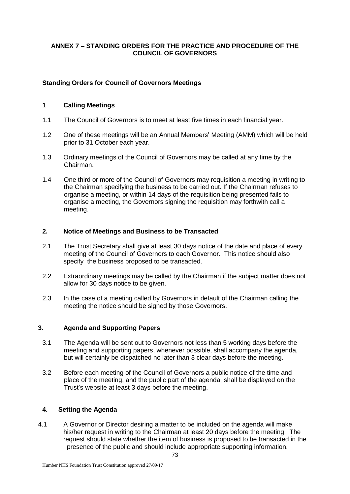## **ANNEX 7 – STANDING ORDERS FOR THE PRACTICE AND PROCEDURE OF THE COUNCIL OF GOVERNORS**

## **Standing Orders for Council of Governors Meetings**

## **1 Calling Meetings**

- 1.1 The Council of Governors is to meet at least five times in each financial year.
- 1.2 One of these meetings will be an Annual Members' Meeting (AMM) which will be held prior to 31 October each year.
- 1.3 Ordinary meetings of the Council of Governors may be called at any time by the Chairman.
- 1.4 One third or more of the Council of Governors may requisition a meeting in writing to the Chairman specifying the business to be carried out. If the Chairman refuses to organise a meeting, or within 14 days of the requisition being presented fails to organise a meeting, the Governors signing the requisition may forthwith call a meeting.

#### **2. Notice of Meetings and Business to be Transacted**

- 2.1 The Trust Secretary shall give at least 30 days notice of the date and place of every meeting of the Council of Governors to each Governor. This notice should also specify the business proposed to be transacted.
- 2.2 Extraordinary meetings may be called by the Chairman if the subject matter does not allow for 30 days notice to be given.
- 2.3 In the case of a meeting called by Governors in default of the Chairman calling the meeting the notice should be signed by those Governors.

## **3. Agenda and Supporting Papers**

- 3.1 The Agenda will be sent out to Governors not less than 5 working days before the meeting and supporting papers, whenever possible, shall accompany the agenda, but will certainly be dispatched no later than 3 clear days before the meeting.
- 3.2 Before each meeting of the Council of Governors a public notice of the time and place of the meeting, and the public part of the agenda, shall be displayed on the Trust's website at least 3 days before the meeting.

## **4. Setting the Agenda**

4.1 A Governor or Director desiring a matter to be included on the agenda will make his/her request in writing to the Chairman at least 20 days before the meeting. The request should state whether the item of business is proposed to be transacted in the presence of the public and should include appropriate supporting information.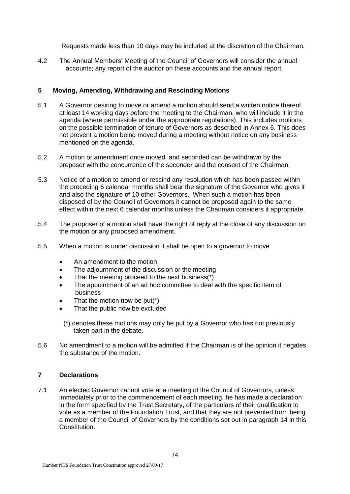Requests made less than 10 days may be included at the discretion of the Chairman.

4.2 The Annual Members' Meeting of the Council of Governors will consider the annual accounts; any report of the auditor on these accounts and the annual report.

## **5 Moving, Amending, Withdrawing and Rescinding Motions**

- 5.1 A Governor desiring to move or amend a motion should send a written notice thereof at least 14 working days before the meeting to the Chairman, who will include it in the agenda (where permissible under the appropriate regulations). This includes motions on the possible termination of tenure of Governors as described in Annex 6. This does not prevent a motion being moved during a meeting without notice on any business mentioned on the agenda.
- 5.2 A motion or amendment once moved and seconded can be withdrawn by the proposer with the concurrence of the seconder and the consent of the Chairman.
- 5.3 Notice of a motion to amend or rescind any resolution which has been passed within the preceding 6 calendar months shall bear the signature of the Governor who gives it and also the signature of 10 other Governors. When such a motion has been disposed of by the Council of Governors it cannot be proposed again to the same effect within the next 6 calendar months unless the Chairman considers it appropriate.
- 5.4 The proposer of a motion shall have the right of reply at the close of any discussion on the motion or any proposed amendment.
- 5.5 When a motion is under discussion it shall be open to a governor to move
	- An amendment to the motion
	- The adjournment of the discussion or the meeting
	- That the meeting proceed to the next business(\*)
	- The appointment of an ad hoc committee to deal with the specific item of business
	- That the motion now be put(\*)
	- That the public now be excluded
		- (\*) denotes these motions may only be put by a Governor who has not previously taken part in the debate.
- 5.6 No amendment to a motion will be admitted if the Chairman is of the opinion it negates the substance of the motion.

## **7 Declarations**

7.1 An elected Governor cannot vote at a meeting of the Council of Governors, unless immediately prior to the commencement of each meeting, he has made a declaration in the form specified by the Trust Secretary, of the particulars of their qualification to vote as a member of the Foundation Trust, and that they are not prevented from being a member of the Council of Governors by the conditions set out in paragraph 14 in this Constitution.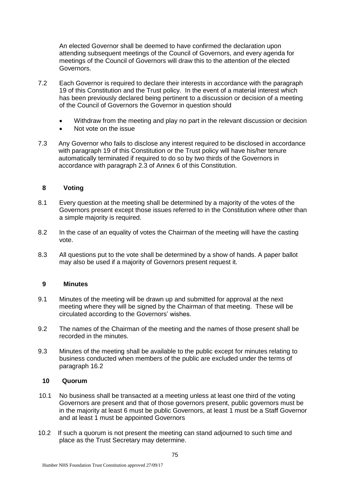An elected Governor shall be deemed to have confirmed the declaration upon attending subsequent meetings of the Council of Governors, and every agenda for meetings of the Council of Governors will draw this to the attention of the elected Governors.

- 7.2 Each Governor is required to declare their interests in accordance with the paragraph 19 of this Constitution and the Trust policy. In the event of a material interest which has been previously declared being pertinent to a discussion or decision of a meeting of the Council of Governors the Governor in question should
	- Withdraw from the meeting and play no part in the relevant discussion or decision
	- Not vote on the issue
- 7.3 Any Governor who fails to disclose any interest required to be disclosed in accordance with paragraph 19 of this Constitution or the Trust policy will have his/her tenure automatically terminated if required to do so by two thirds of the Governors in accordance with paragraph 2.3 of Annex 6 of this Constitution.

#### **8 Voting**

- 8.1 Every question at the meeting shall be determined by a majority of the votes of the Governors present except those issues referred to in the Constitution where other than a simple majority is required.
- 8.2 In the case of an equality of votes the Chairman of the meeting will have the casting vote.
- 8.3 All questions put to the vote shall be determined by a show of hands. A paper ballot may also be used if a majority of Governors present request it.

#### **9 Minutes**

- 9.1 Minutes of the meeting will be drawn up and submitted for approval at the next meeting where they will be signed by the Chairman of that meeting. These will be circulated according to the Governors' wishes.
- 9.2 The names of the Chairman of the meeting and the names of those present shall be recorded in the minutes.
- 9.3 Minutes of the meeting shall be available to the public except for minutes relating to business conducted when members of the public are excluded under the terms of paragraph 16.2

#### **10 Quorum**

- 10.1 No business shall be transacted at a meeting unless at least one third of the voting Governors are present and that of those governors present, public governors must be in the majority at least 6 must be public Governors, at least 1 must be a Staff Governor and at least 1 must be appointed Governors
- 10.2 If such a quorum is not present the meeting can stand adjourned to such time and place as the Trust Secretary may determine.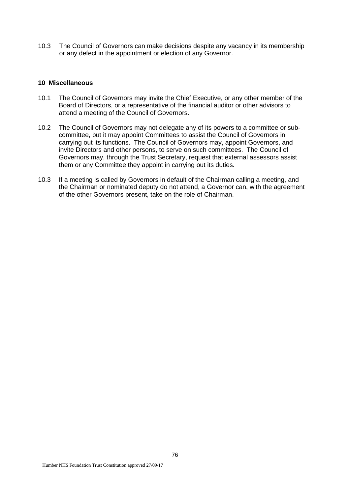10.3 The Council of Governors can make decisions despite any vacancy in its membership or any defect in the appointment or election of any Governor.

#### **10 Miscellaneous**

- 10.1 The Council of Governors may invite the Chief Executive, or any other member of the Board of Directors, or a representative of the financial auditor or other advisors to attend a meeting of the Council of Governors.
- 10.2 The Council of Governors may not delegate any of its powers to a committee or subcommittee, but it may appoint Committees to assist the Council of Governors in carrying out its functions. The Council of Governors may, appoint Governors, and invite Directors and other persons, to serve on such committees. The Council of Governors may, through the Trust Secretary, request that external assessors assist them or any Committee they appoint in carrying out its duties.
- 10.3 If a meeting is called by Governors in default of the Chairman calling a meeting, and the Chairman or nominated deputy do not attend, a Governor can, with the agreement of the other Governors present, take on the role of Chairman.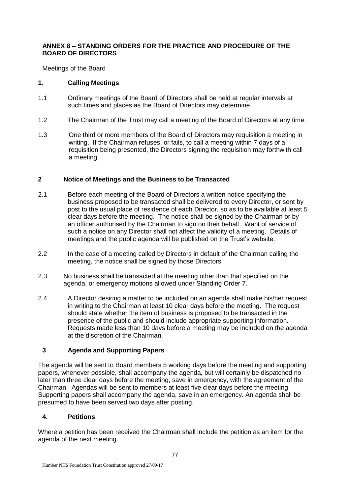## **ANNEX 8 – STANDING ORDERS FOR THE PRACTICE AND PROCEDURE OF THE BOARD OF DIRECTORS**

Meetings of the Board

# **1. Calling Meetings**

- 1.1 Ordinary meetings of the Board of Directors shall be held at regular intervals at such times and places as the Board of Directors may determine.
- 1.2 The Chairman of the Trust may call a meeting of the Board of Directors at any time.
- 1.3 One third or more members of the Board of Directors may requisition a meeting in writing. If the Chairman refuses, or fails, to call a meeting within 7 days of a requisition being presented, the Directors signing the requisition may forthwith call a meeting.

# **2 Notice of Meetings and the Business to be Transacted**

- 2.1 Before each meeting of the Board of Directors a written notice specifying the business proposed to be transacted shall be delivered to every Director, or sent by post to the usual place of residence of each Director, so as to be available at least 5 clear days before the meeting. The notice shall be signed by the Chairman or by an officer authorised by the Chairman to sign on their behalf. Want of service of such a notice on any Director shall not affect the validity of a meeting. Details of meetings and the public agenda will be published on the Trust's website.
- 2.2 In the case of a meeting called by Directors in default of the Chairman calling the meeting, the notice shall be signed by those Directors.
- 2.3 No business shall be transacted at the meeting other than that specified on the agenda, or emergency motions allowed under Standing Order 7.
- 2.4 A Director desiring a matter to be included on an agenda shall make his/her request in writing to the Chairman at least 10 clear days before the meeting. The request should state whether the item of business is proposed to be transacted in the presence of the public and should include appropriate supporting information. Requests made less than 10 days before a meeting may be included on the agenda at the discretion of the Chairman.

# **3 Agenda and Supporting Papers**

The agenda will be sent to Board members 5 working days before the meeting and supporting papers, whenever possible, shall accompany the agenda, but will certainly be dispatched no later than three clear days before the meeting, save in emergency, with the agreement of the Chairman. Agendas will be sent to members at least five clear days before the meeting. Supporting papers shall accompany the agenda, save in an emergency. An agenda shall be presumed to have been served two days after posting.

# **4. Petitions**

Where a petition has been received the Chairman shall include the petition as an item for the agenda of the next meeting.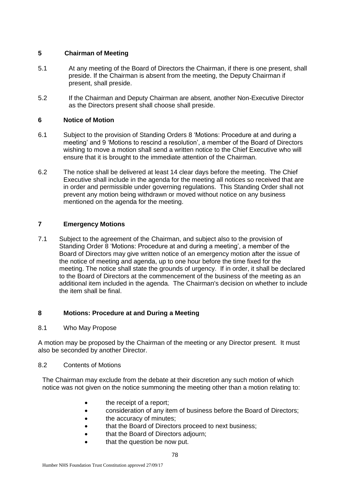## **5 Chairman of Meeting**

- 5.1 At any meeting of the Board of Directors the Chairman, if there is one present, shall preside. If the Chairman is absent from the meeting, the Deputy Chairman if present, shall preside.
- 5.2 If the Chairman and Deputy Chairman are absent, another Non-Executive Director as the Directors present shall choose shall preside.

## **6 Notice of Motion**

- 6.1 Subject to the provision of Standing Orders 8 'Motions: Procedure at and during a meeting' and 9 'Motions to rescind a resolution', a member of the Board of Directors wishing to move a motion shall send a written notice to the Chief Executive who will ensure that it is brought to the immediate attention of the Chairman.
- 6.2 The notice shall be delivered at least 14 clear days before the meeting. The Chief Executive shall include in the agenda for the meeting all notices so received that are in order and permissible under governing regulations. This Standing Order shall not prevent any motion being withdrawn or moved without notice on any business mentioned on the agenda for the meeting.

# **7 Emergency Motions**

7.1 Subject to the agreement of the Chairman, and subject also to the provision of Standing Order 8 'Motions: Procedure at and during a meeting', a member of the Board of Directors may give written notice of an emergency motion after the issue of the notice of meeting and agenda, up to one hour before the time fixed for the meeting. The notice shall state the grounds of urgency. If in order, it shall be declared to the Board of Directors at the commencement of the business of the meeting as an additional item included in the agenda. The Chairman's decision on whether to include the item shall be final.

# **8 Motions: Procedure at and During a Meeting**

8.1 Who May Propose

A motion may be proposed by the Chairman of the meeting or any Director present. It must also be seconded by another Director.

## 8.2 Contents of Motions

The Chairman may exclude from the debate at their discretion any such motion of which notice was not given on the notice summoning the meeting other than a motion relating to:

- the receipt of a report;
- consideration of any item of business before the Board of Directors;
- the accuracy of minutes;
- that the Board of Directors proceed to next business;
- that the Board of Directors adjourn;
- that the question be now put.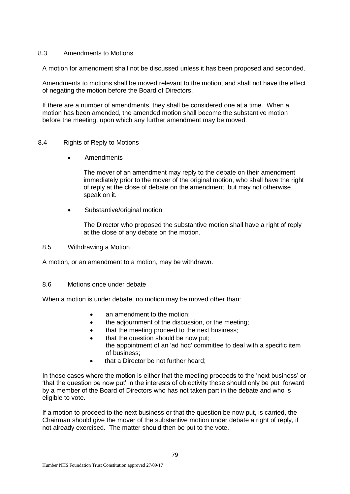#### 8.3 Amendments to Motions

A motion for amendment shall not be discussed unless it has been proposed and seconded.

Amendments to motions shall be moved relevant to the motion, and shall not have the effect of negating the motion before the Board of Directors.

If there are a number of amendments, they shall be considered one at a time. When a motion has been amended, the amended motion shall become the substantive motion before the meeting, upon which any further amendment may be moved.

#### 8.4 Rights of Reply to Motions

Amendments

The mover of an amendment may reply to the debate on their amendment immediately prior to the mover of the original motion, who shall have the right of reply at the close of debate on the amendment, but may not otherwise speak on it.

Substantive/original motion

The Director who proposed the substantive motion shall have a right of reply at the close of any debate on the motion.

8.5 Withdrawing a Motion

A motion, or an amendment to a motion, may be withdrawn.

8.6 Motions once under debate

When a motion is under debate, no motion may be moved other than:

- an amendment to the motion:
- the adjournment of the discussion, or the meeting;
- that the meeting proceed to the next business;
- that the question should be now put; the appointment of an 'ad hoc' committee to deal with a specific item of business;
- that a Director be not further heard;

In those cases where the motion is either that the meeting proceeds to the 'next business' or 'that the question be now put' in the interests of objectivity these should only be put forward by a member of the Board of Directors who has not taken part in the debate and who is eligible to vote.

If a motion to proceed to the next business or that the question be now put, is carried, the Chairman should give the mover of the substantive motion under debate a right of reply, if not already exercised. The matter should then be put to the vote.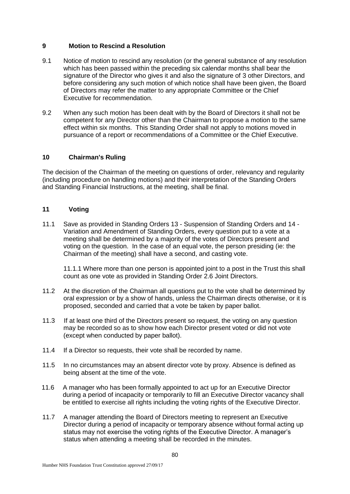## **9 Motion to Rescind a Resolution**

- 9.1 Notice of motion to rescind any resolution (or the general substance of any resolution which has been passed within the preceding six calendar months shall bear the signature of the Director who gives it and also the signature of 3 other Directors, and before considering any such motion of which notice shall have been given, the Board of Directors may refer the matter to any appropriate Committee or the Chief Executive for recommendation.
- 9.2 When any such motion has been dealt with by the Board of Directors it shall not be competent for any Director other than the Chairman to propose a motion to the same effect within six months. This Standing Order shall not apply to motions moved in pursuance of a report or recommendations of a Committee or the Chief Executive.

## **10 Chairman's Ruling**

The decision of the Chairman of the meeting on questions of order, relevancy and regularity (including procedure on handling motions) and their interpretation of the Standing Orders and Standing Financial Instructions, at the meeting, shall be final.

## **11 Voting**

11.1 Save as provided in Standing Orders 13 - Suspension of Standing Orders and 14 - Variation and Amendment of Standing Orders, every question put to a vote at a meeting shall be determined by a majority of the votes of Directors present and voting on the question. In the case of an equal vote, the person presiding (ie: the Chairman of the meeting) shall have a second, and casting vote.

11.1.1 Where more than one person is appointed joint to a post in the Trust this shall count as one vote as provided in Standing Order 2.6 Joint Directors.

- 11.2 At the discretion of the Chairman all questions put to the vote shall be determined by oral expression or by a show of hands, unless the Chairman directs otherwise, or it is proposed, seconded and carried that a vote be taken by paper ballot.
- 11.3 If at least one third of the Directors present so request, the voting on any question may be recorded so as to show how each Director present voted or did not vote (except when conducted by paper ballot).
- 11.4 If a Director so requests, their vote shall be recorded by name.
- 11.5 In no circumstances may an absent director vote by proxy. Absence is defined as being absent at the time of the vote.
- 11.6 A manager who has been formally appointed to act up for an Executive Director during a period of incapacity or temporarily to fill an Executive Director vacancy shall be entitled to exercise all rights including the voting rights of the Executive Director.
- 11.7 A manager attending the Board of Directors meeting to represent an Executive Director during a period of incapacity or temporary absence without formal acting up status may not exercise the voting rights of the Executive Director. A manager's status when attending a meeting shall be recorded in the minutes.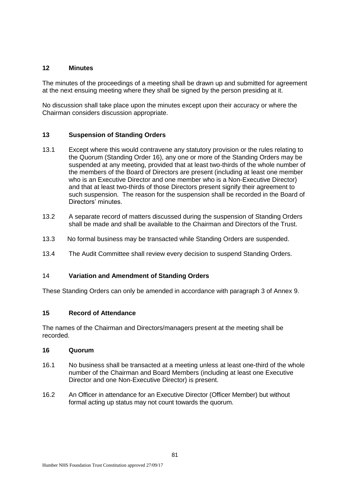## **12 Minutes**

The minutes of the proceedings of a meeting shall be drawn up and submitted for agreement at the next ensuing meeting where they shall be signed by the person presiding at it.

No discussion shall take place upon the minutes except upon their accuracy or where the Chairman considers discussion appropriate.

## **13 Suspension of Standing Orders**

- 13.1 Except where this would contravene any statutory provision or the rules relating to the Quorum (Standing Order 16), any one or more of the Standing Orders may be suspended at any meeting, provided that at least two-thirds of the whole number of the members of the Board of Directors are present (including at least one member who is an Executive Director and one member who is a Non-Executive Director) and that at least two-thirds of those Directors present signify their agreement to such suspension. The reason for the suspension shall be recorded in the Board of Directors' minutes.
- 13.2 A separate record of matters discussed during the suspension of Standing Orders shall be made and shall be available to the Chairman and Directors of the Trust.
- 13.3 No formal business may be transacted while Standing Orders are suspended.
- 13.4 The Audit Committee shall review every decision to suspend Standing Orders.

## 14 **Variation and Amendment of Standing Orders**

These Standing Orders can only be amended in accordance with paragraph 3 of Annex 9.

## **15 Record of Attendance**

The names of the Chairman and Directors/managers present at the meeting shall be recorded.

## **16 Quorum**

- 16.1 No business shall be transacted at a meeting unless at least one-third of the whole number of the Chairman and Board Members (including at least one Executive Director and one Non-Executive Director) is present.
- 16.2 An Officer in attendance for an Executive Director (Officer Member) but without formal acting up status may not count towards the quorum.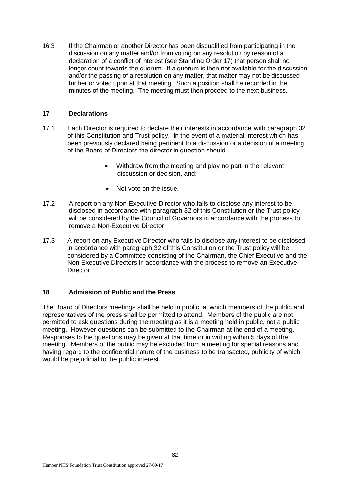16.3 If the Chairman or another Director has been disqualified from participating in the discussion on any matter and/or from voting on any resolution by reason of a declaration of a conflict of interest (see Standing Order 17) that person shall no longer count towards the quorum. If a quorum is then not available for the discussion and/or the passing of a resolution on any matter, that matter may not be discussed further or voted upon at that meeting. Such a position shall be recorded in the minutes of the meeting. The meeting must then proceed to the next business.

#### **17 Declarations**

- 17.1 Each Director is required to declare their interests in accordance with paragraph 32 of this Constitution and Trust policy. In the event of a material interest which has been previously declared being pertinent to a discussion or a decision of a meeting of the Board of Directors the director in question should
	- Withdraw from the meeting and play no part in the relevant discussion or decision, and:
	- Not vote on the issue.
- 17.2 A report on any Non-Executive Director who fails to disclose any interest to be disclosed in accordance with paragraph 32 of this Constitution or the Trust policy will be considered by the Council of Governors in accordance with the process to remove a Non-Executive Director.
- 17.3 A report on any Executive Director who fails to disclose any interest to be disclosed in accordance with paragraph 32 of this Constitution or the Trust policy will be considered by a Committee consisting of the Chairman, the Chief Executive and the Non-Executive Directors in accordance with the process to remove an Executive Director.

#### **18 Admission of Public and the Press**

The Board of Directors meetings shall be held in public, at which members of the public and representatives of the press shall be permitted to attend. Members of the public are not permitted to ask questions during the meeting as it is a meeting held in public, not a public meeting. However questions can be submitted to the Chairman at the end of a meeting. Responses to the questions may be given at that time or in writing within 5 days of the meeting. Members of the public may be excluded from a meeting for special reasons and having regard to the confidential nature of the business to be transacted, publicity of which would be prejudicial to the public interest.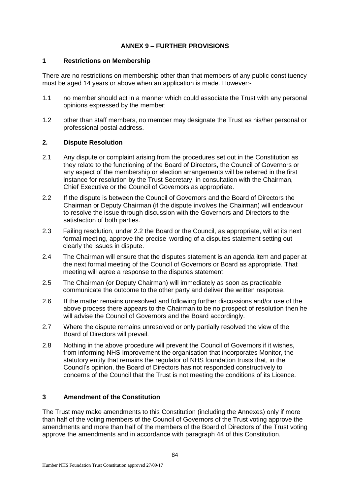# **ANNEX 9 – FURTHER PROVISIONS**

#### **1 Restrictions on Membership**

There are no restrictions on membership other than that members of any public constituency must be aged 14 years or above when an application is made. However:-

- 1.1 no member should act in a manner which could associate the Trust with any personal opinions expressed by the member;
- 1.2 other than staff members, no member may designate the Trust as his/her personal or professional postal address.

#### **2. Dispute Resolution**

- 2.1 Any dispute or complaint arising from the procedures set out in the Constitution as they relate to the functioning of the Board of Directors, the Council of Governors or any aspect of the membership or election arrangements will be referred in the first instance for resolution by the Trust Secretary, in consultation with the Chairman, Chief Executive or the Council of Governors as appropriate.
- 2.2 If the dispute is between the Council of Governors and the Board of Directors the Chairman or Deputy Chairman (if the dispute involves the Chairman) will endeavour to resolve the issue through discussion with the Governors and Directors to the satisfaction of both parties.
- 2.3 Failing resolution, under 2.2 the Board or the Council, as appropriate, will at its next formal meeting, approve the precise wording of a disputes statement setting out clearly the issues in dispute.
- 2.4 The Chairman will ensure that the disputes statement is an agenda item and paper at the next formal meeting of the Council of Governors or Board as appropriate. That meeting will agree a response to the disputes statement.
- 2.5 The Chairman (or Deputy Chairman) will immediately as soon as practicable communicate the outcome to the other party and deliver the written response.
- 2.6 If the matter remains unresolved and following further discussions and/or use of the above process there appears to the Chairman to be no prospect of resolution then he will advise the Council of Governors and the Board accordingly.
- 2.7 Where the dispute remains unresolved or only partially resolved the view of the Board of Directors will prevail.
- 2.8 Nothing in the above procedure will prevent the Council of Governors if it wishes, from informing NHS Improvement the organisation that incorporates Monitor, the statutory entity that remains the regulator of NHS foundation trusts that, in the Council's opinion, the Board of Directors has not responded constructively to concerns of the Council that the Trust is not meeting the conditions of its Licence.

## **3 Amendment of the Constitution**

The Trust may make amendments to this Constitution (including the Annexes) only if more than half of the voting members of the Council of Governors of the Trust voting approve the amendments and more than half of the members of the Board of Directors of the Trust voting approve the amendments and in accordance with paragraph 44 of this Constitution.